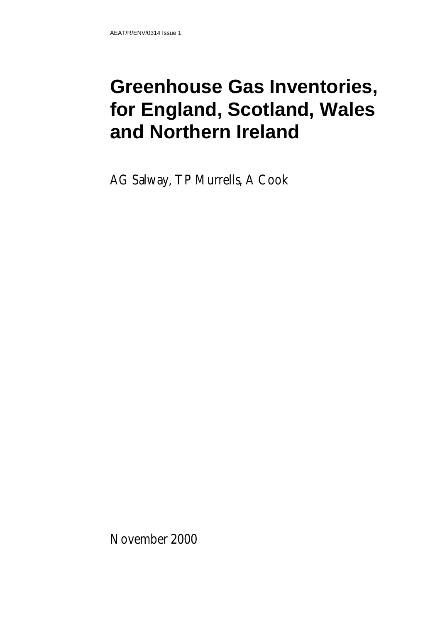# **Greenhouse Gas Inventories, for England, Scotland, Wales and Northern Ireland**

AG Salway, TP Murrells, A Cook

November 2000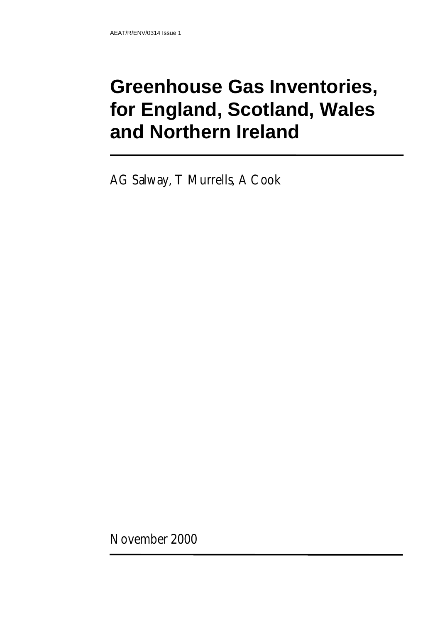# **Greenhouse Gas Inventories, for England, Scotland, Wales and Northern Ireland**

AG Salway, T Murrells, A Cook

November 2000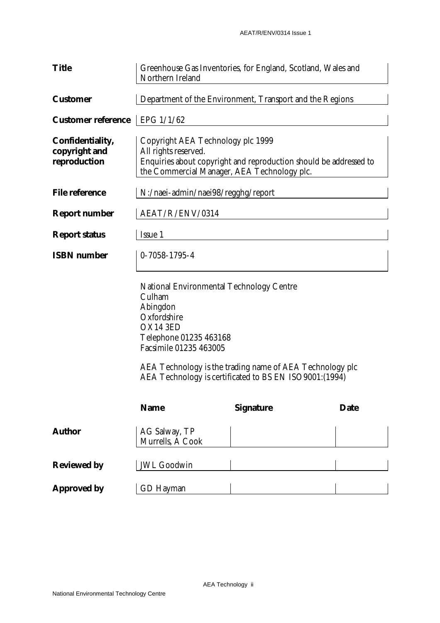| <b>Title</b>                                      | Greenhouse Gas Inventories, for England, Scotland, Wales and<br>Northern Ireland                                                                                              |                                                                                                                    |             |  |  |
|---------------------------------------------------|-------------------------------------------------------------------------------------------------------------------------------------------------------------------------------|--------------------------------------------------------------------------------------------------------------------|-------------|--|--|
| <b>Customer</b>                                   | Department of the Environment, Transport and the Regions                                                                                                                      |                                                                                                                    |             |  |  |
| <b>Customer reference</b>                         | EPG 1/1/62                                                                                                                                                                    |                                                                                                                    |             |  |  |
| Confidentiality,<br>copyright and<br>reproduction | Copyright AEA Technology plc 1999<br>All rights reserved.<br>Enquiries about copyright and reproduction should be addressed to<br>the Commercial Manager, AEA Technology plc. |                                                                                                                    |             |  |  |
| <b>File reference</b>                             | N:/naei-admin/naei98/regghg/report                                                                                                                                            |                                                                                                                    |             |  |  |
| <b>Report number</b>                              | AEAT/R/ENV/0314                                                                                                                                                               |                                                                                                                    |             |  |  |
| <b>Report status</b>                              | Issue 1                                                                                                                                                                       |                                                                                                                    |             |  |  |
| <b>ISBN</b> number                                | $0 - 7058 - 1795 - 4$                                                                                                                                                         |                                                                                                                    |             |  |  |
|                                                   | <b>National Environmental Technology Centre</b><br>Culham<br>Abingdon<br>Oxfordshire<br>OX14 3ED<br>Telephone 01235 463168<br>Facsimile 01235 463005                          | AEA Technology is the trading name of AEA Technology plc<br>AEA Technology is certificated to BS EN ISO9001:(1994) |             |  |  |
|                                                   | <b>Name</b>                                                                                                                                                                   | <b>Signature</b>                                                                                                   | <b>Date</b> |  |  |
| <b>Author</b>                                     | AG Salway, TP<br>Murrells, A Cook                                                                                                                                             |                                                                                                                    |             |  |  |
| <b>Reviewed by</b>                                | <b>JWL Goodwin</b>                                                                                                                                                            |                                                                                                                    |             |  |  |
| <b>Approved by</b>                                | <b>GD</b> Hayman                                                                                                                                                              |                                                                                                                    |             |  |  |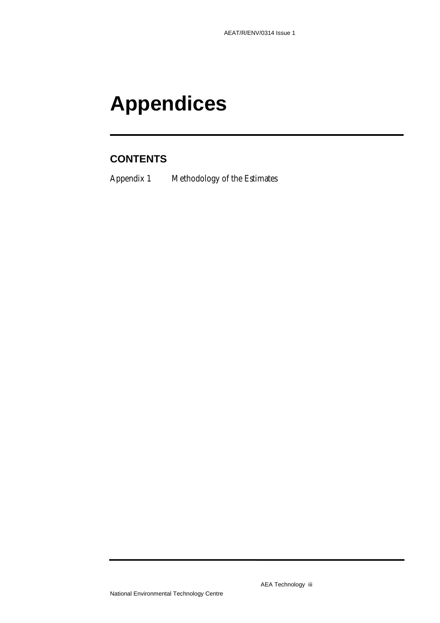# **Appendices**

# **CONTENTS**

Appendix 1 Methodology of the Estimates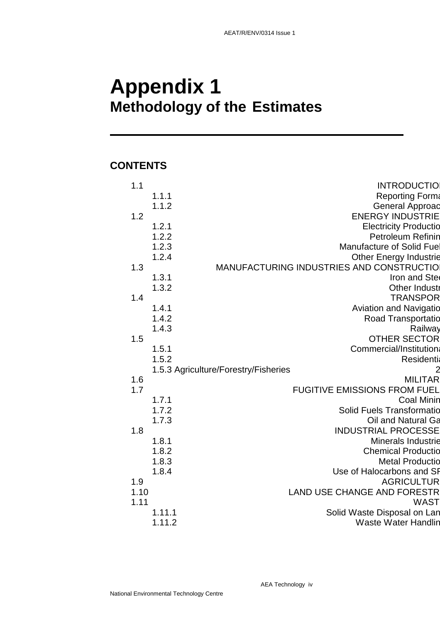# **Appendix 1 Methodology of the Estimates**

# **CONTENTS**

| 1.1  |        | <b>INTRODUCTIO</b>                       |
|------|--------|------------------------------------------|
|      | 1.1.1  | <b>Reporting Forma</b>                   |
|      | 1.1.2  | <b>General Approac</b>                   |
| 1.2  |        | <b>ENERGY INDUSTRIE</b>                  |
|      | 1.2.1  | <b>Electricity Productio</b>             |
|      | 1.2.2  | <b>Petroleum Refinin</b>                 |
|      | 1.2.3  | Manufacture of Solid Fuel                |
|      | 1.2.4  | <b>Other Energy Industrie</b>            |
| 1.3  |        | MANUFACTURING INDUSTRIES AND CONSTRUCTIO |
|      | 1.3.1  | Iron and Stee                            |
|      | 1.3.2  | <b>Other Industr</b>                     |
| 1.4  |        | <b>TRANSPOR</b>                          |
|      | 1.4.1  | <b>Aviation and Navigatio</b>            |
|      | 1.4.2  | Road Transportatio                       |
|      | 1.4.3  | Railway                                  |
| 1.5  |        | <b>OTHER SECTOR</b>                      |
|      | 1.5.1  | Commercial/Institution:                  |
|      | 1.5.2  | <b>Residentia</b>                        |
|      |        | 1.5.3 Agriculture/Forestry/Fisheries     |
| 1.6  |        | <b>MILITAR</b>                           |
| 1.7  |        | <b>FUGITIVE EMISSIONS FROM FUEL</b>      |
|      | 1.7.1  | <b>Coal Minin</b>                        |
|      | 1.7.2  | <b>Solid Fuels Transformatio</b>         |
|      | 1.7.3  | Oil and Natural Ga                       |
| 1.8  |        | <b>INDUSTRIAL PROCESSE</b>               |
|      | 1.8.1  | <b>Minerals Industrie</b>                |
|      | 1.8.2  | <b>Chemical Productio</b>                |
|      | 1.8.3  | <b>Metal Productio</b>                   |
|      | 1.8.4  | Use of Halocarbons and SP                |
| 1.9  |        | <b>AGRICULTUR</b>                        |
| 1.10 |        | <b>LAND USE CHANGE AND FORESTR</b>       |
| 1.11 |        | <b>WAST</b>                              |
|      | 1.11.1 | Solid Waste Disposal on Lan              |
|      | 1.11.2 | <b>Waste Water Handlin</b>               |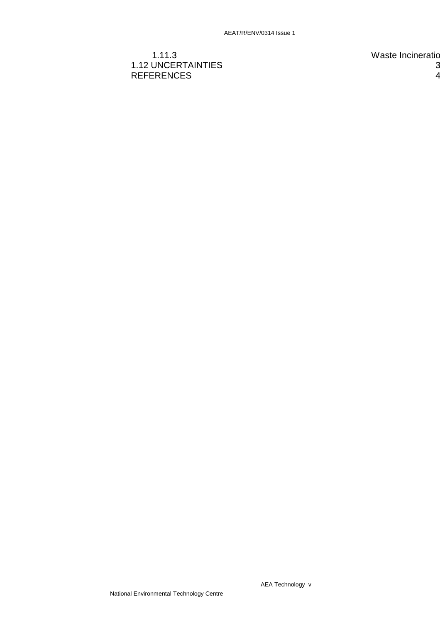## 1.11.3 Waste Incineratio 1.12 UNCERTAINTIES 3 REFERENCES 4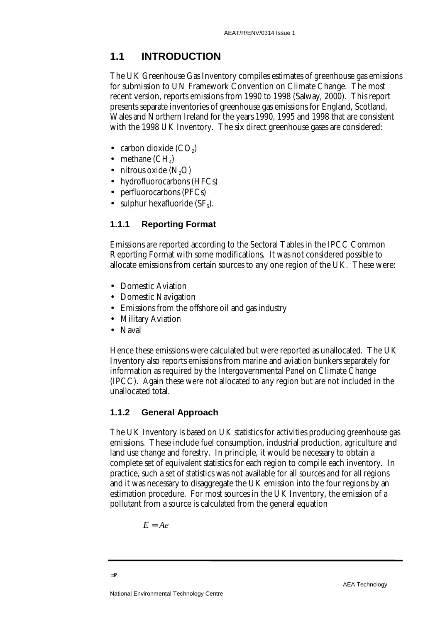# **1.1 INTRODUCTION**

The UK Greenhouse Gas Inventory compiles estimates of greenhouse gas emissions for submission to UN Framework Convention on Climate Change. The most recent version, reports emissions from 1990 to 1998 (Salway, 2000). This report presents separate inventories of greenhouse gas emissions for England, Scotland, Wales and Northern Ireland for the years 1990, 1995 and 1998 that are consistent with the 1998 UK Inventory. The six direct greenhouse gases are considered:

- carbon dioxide  $(CO<sub>2</sub>)$
- methane  $(CH<sub>a</sub>)$
- nitrous oxide  $(N, O)$
- hydrofluorocarbons (HFCs)
- perfluorocarbons (PFCs)
- sulphur hexafluoride  $(SF<sub>e</sub>)$ .

## **1.1.1 Reporting Format**

Emissions are reported according to the Sectoral Tables in the IPCC Common Reporting Format with some modifications. It was not considered possible to allocate emissions from certain sources to any one region of the UK. These were:

- Domestic Aviation
- Domestic Navigation
- Emissions from the offshore oil and gas industry
- Military Aviation
- Naval

Hence these emissions were calculated but were reported as unallocated. The UK Inventory also reports emissions from marine and aviation bunkers separately for information as required by the Intergovernmental Panel on Climate Change (IPCC). Again these were not allocated to any region but are not included in the unallocated total.

## **1.1.2 General Approach**

The UK Inventory is based on UK statistics for activities producing greenhouse gas emissions. These include fuel consumption, industrial production, agriculture and land use change and forestry. In principle, it would be necessary to obtain a complete set of equivalent statistics for each region to compile each inventory. In practice, such a set of statistics was not available for all sources and for all regions and it was necessary to disaggregate the UK emission into the four regions by an estimation procedure. For most sources in the UK Inventory, the emission of a pollutant from a source is calculated from the general equation

$$
E=Ae
$$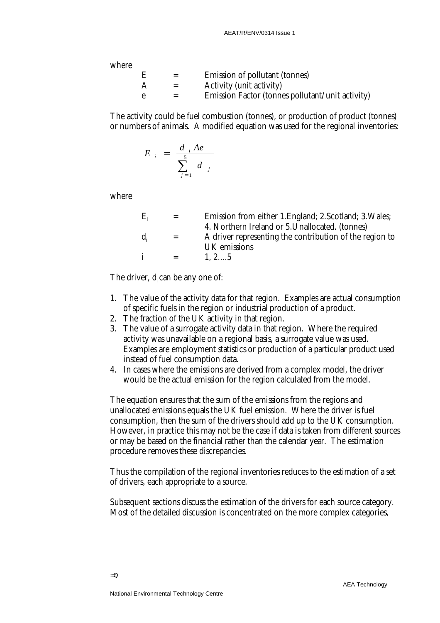where

|  | Emission of pollutant (tonnes)                   |
|--|--------------------------------------------------|
|  | <b>Activity (unit activity)</b>                  |
|  | Emission Factor (tonnes pollutant/unit activity) |

The activity could be fuel combustion (tonnes), or production of product (tonnes) or numbers of animals. A modified equation was used for the regional inventories:

$$
E_i = \frac{d_i A e}{\sum_{j=1}^5 d_j}
$$

where

| $E_i$            |         | Emission from either 1. England; 2. Scotland; 3. Wales; |
|------------------|---------|---------------------------------------------------------|
|                  |         | 4. Northern Ireland or 5. Unallocated. (tonnes)         |
| $\mathbf{d}_{i}$ | $=$     | A driver representing the contribution of the region to |
|                  |         | UK emissions                                            |
|                  | $=$ $-$ | $1, 2, \ldots, 5$                                       |
|                  |         |                                                         |

The driver,  $d_i$  can be any one of:

- 1. The value of the activity data for that region. Examples are actual consumption of specific fuels in the region or industrial production of a product.
- 2. The fraction of the UK activity in that region.
- 3. The value of a surrogate activity data in that region. Where the required activity was unavailable on a regional basis, a surrogate value was used. Examples are employment statistics or production of a particular product used instead of fuel consumption data.
- 4. In cases where the emissions are derived from a complex model, the driver would be the actual emission for the region calculated from the model.

The equation ensures that the sum of the emissions from the regions and unallocated emissions equals the UK fuel emission. Where the driver is fuel consumption, then the sum of the drivers should add up to the UK consumption. However, in practice this may not be the case if data is taken from different sources or may be based on the financial rather than the calendar year. The estimation procedure removes these discrepancies.

Thus the compilation of the regional inventories reduces to the estimation of a set of drivers, each appropriate to a source.

Subsequent sections discuss the estimation of the drivers for each source category. Most of the detailed discussion is concentrated on the more complex categories,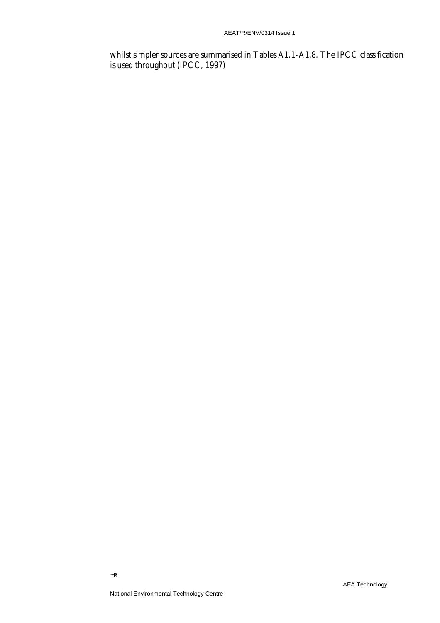whilst simpler sources are summarised in Tables A1.1-A1.8. The IPCC classification is used throughout (IPCC, 1997)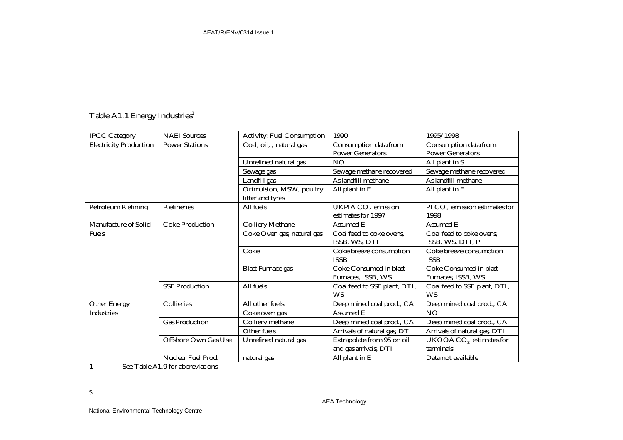# Table A1.1 Energy Industries<sup>1</sup>

| <b>IPCC Category</b>          | <b>NAEI</b> Sources         | <b>Activity: Fuel Consumption</b> | 1990                                                 | 1995/1998                               |
|-------------------------------|-----------------------------|-----------------------------------|------------------------------------------------------|-----------------------------------------|
| <b>Electricity Production</b> | <b>Power Stations</b>       | Coal, oil, , natural gas          | Consumption data from                                | Consumption data from                   |
|                               |                             |                                   | <b>Power Generators</b>                              | <b>Power Generators</b>                 |
|                               |                             | Unrefined natural gas             | NO                                                   | All plant in S                          |
|                               |                             | Sewage gas                        | Sewage methane recovered                             | Sewage methane recovered                |
|                               |                             | Landfill gas                      | As landfill methane                                  | As landfill methane                     |
|                               |                             | Orimulsion, MSW, poultry          | All plant in E                                       | All plant in E                          |
|                               |                             | litter and tyres                  |                                                      |                                         |
| <b>Petroleum Refining</b>     | Refineries                  | All fuels                         | UKPIA CO <sub>2</sub> emission<br>estimates for 1997 | PI $CO2$ emission estimates for<br>1998 |
| Manufacture of Solid          | <b>Coke Production</b>      | <b>Colliery Methane</b>           | Assumed E                                            | Assumed E                               |
| <b>Fuels</b>                  |                             | Coke Oven gas, natural gas        | Coal feed to coke ovens,                             | Coal feed to coke ovens,                |
|                               |                             |                                   | ISSB, WS, DTI                                        | ISSB, WS, DTI, PI                       |
|                               |                             | Coke                              | Coke breeze consumption                              | Coke breeze consumption                 |
|                               |                             |                                   | <b>ISSB</b>                                          | <b>ISSB</b>                             |
|                               |                             | <b>Blast Furnace gas</b>          | Coke Consumed in blast                               | Coke Consumed in blast                  |
|                               |                             |                                   | Furnaces, ISSB, WS                                   | Furnaces, ISSB, WS                      |
|                               | <b>SSF Production</b>       | All fuels                         | Coal feed to SSF plant, DTI,                         | Coal feed to SSF plant, DTI,            |
|                               |                             |                                   | <b>WS</b>                                            | <b>WS</b>                               |
| <b>Other Energy</b>           | Collieries                  | All other fuels                   | Deep mined coal prod., CA                            | Deep mined coal prod., CA               |
| <b>Industries</b>             |                             | Coke oven gas                     | Assumed E                                            | <b>NO</b>                               |
|                               | <b>Gas Production</b>       | Colliery methane                  | Deep mined coal prod., CA                            | Deep mined coal prod., CA               |
|                               |                             | Other fuels                       | Arrivals of natural gas, DTI                         | Arrivals of natural gas, DTI            |
|                               | <b>Offshore Own Gas Use</b> | Unrefined natural gas             | Extrapolate from 95 on oil                           | UKOOA CO <sub>2</sub> estimates for     |
|                               |                             |                                   | and gas arrivals, DTI                                | terminals                               |
|                               | Nuclear Fuel Prod.          | natural gas                       | All plant in E                                       | Data not available                      |

1 See Table A1.9 for abbreviations

S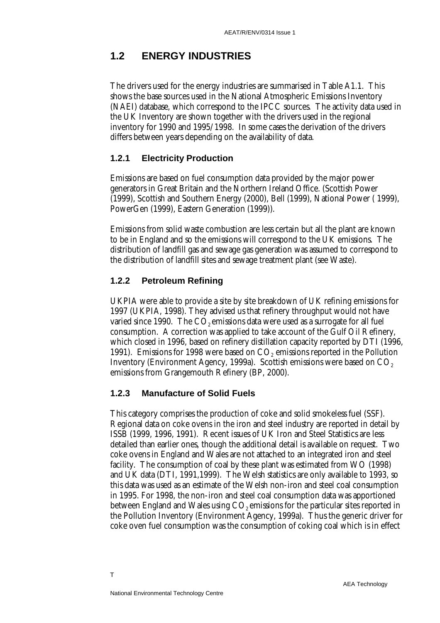# **1.2 ENERGY INDUSTRIES**

The drivers used for the energy industries are summarised in Table A1.1. This shows the base sources used in the National Atmospheric Emissions Inventory (NAEI) database, which correspond to the IPCC sources. The activity data used in the UK Inventory are shown together with the drivers used in the regional inventory for 1990 and 1995/1998. In some cases the derivation of the drivers differs between years depending on the availability of data.

#### **1.2.1 Electricity Production**

Emissions are based on fuel consumption data provided by the major power generators in Great Britain and the Northern Ireland Office. (Scottish Power (1999), Scottish and Southern Energy (2000), Bell (1999), National Power ( 1999), PowerGen (1999), Eastern Generation (1999)).

Emissions from solid waste combustion are less certain but all the plant are known to be in England and so the emissions will correspond to the UK emissions. The distribution of landfill gas and sewage gas generation was assumed to correspond to the distribution of landfill sites and sewage treatment plant (see Waste).

#### **1.2.2 Petroleum Refining**

UKPIA were able to provide a site by site breakdown of UK refining emissions for 1997 (UKPIA, 1998). They advised us that refinery throughput would not have varied since 1990. The  $CO<sub>2</sub>$  emissions data were used as a surrogate for all fuel consumption. A correction was applied to take account of the Gulf Oil Refinery, which closed in 1996, based on refinery distillation capacity reported by DTI (1996, 1991). Emissions for 1998 were based on  $CO<sub>2</sub>$  emissions reported in the Pollution Inventory (Environment Agency, 1999a). Scottish emissions were based on CO<sub>2</sub> emissions from Grangemouth Refinery (BP, 2000).

#### **1.2.3 Manufacture of Solid Fuels**

This category comprises the production of coke and solid smokeless fuel (SSF). Regional data on coke ovens in the iron and steel industry are reported in detail by ISSB (1999, 1996, 1991). Recent issues of UK Iron and Steel Statistics are less detailed than earlier ones, though the additional detail is available on request. Two coke ovens in England and Wales are not attached to an integrated iron and steel facility. The consumption of coal by these plant was estimated from WO (1998) and UK data (DTI, 1991,1999). The Welsh statistics are only available to 1993, so this data was used as an estimate of the Welsh non-iron and steel coal consumption in 1995. For 1998, the non-iron and steel coal consumption data was apportioned between England and Wales using  $CO<sub>2</sub>$  emissions for the particular sites reported in the Pollution Inventory (Environment Agency, 1999a). Thus the generic driver for coke oven fuel consumption was the consumption of coking coal which is in effect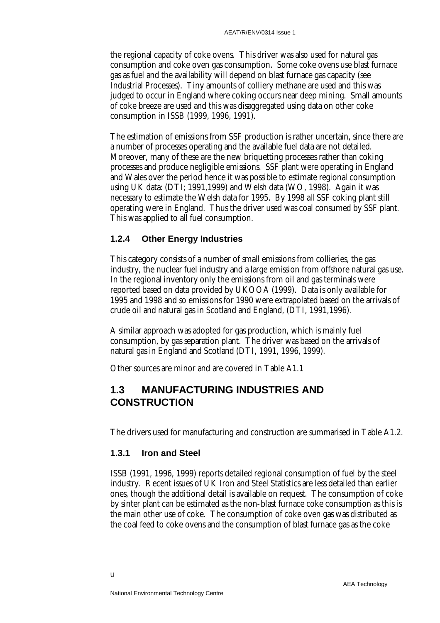the regional capacity of coke ovens. This driver was also used for natural gas consumption and coke oven gas consumption. Some coke ovens use blast furnace gas as fuel and the availability will depend on blast furnace gas capacity (see Industrial Processes). Tiny amounts of colliery methane are used and this was judged to occur in England where coking occurs near deep mining. Small amounts of coke breeze are used and this was disaggregated using data on other coke consumption in ISSB (1999, 1996, 1991).

The estimation of emissions from SSF production is rather uncertain, since there are a number of processes operating and the available fuel data are not detailed. Moreover, many of these are the new briquetting processes rather than coking processes and produce negligible emissions. SSF plant were operating in England and Wales over the period hence it was possible to estimate regional consumption using UK data: (DTI; 1991,1999) and Welsh data (WO, 1998). Again it was necessary to estimate the Welsh data for 1995. By 1998 all SSF coking plant still operating were in England. Thus the driver used was coal consumed by SSF plant. This was applied to all fuel consumption.

## **1.2.4 Other Energy Industries**

This category consists of a number of small emissions from collieries, the gas industry, the nuclear fuel industry and a large emission from offshore natural gas use. In the regional inventory only the emissions from oil and gas terminals were reported based on data provided by UKOOA (1999). Data is only available for 1995 and 1998 and so emissions for 1990 were extrapolated based on the arrivals of crude oil and natural gas in Scotland and England, (DTI, 1991,1996).

A similar approach was adopted for gas production, which is mainly fuel consumption, by gas separation plant. The driver was based on the arrivals of natural gas in England and Scotland (DTI, 1991, 1996, 1999).

Other sources are minor and are covered in Table A1.1

# **1.3 MANUFACTURING INDUSTRIES AND CONSTRUCTION**

The drivers used for manufacturing and construction are summarised in Table A1.2.

## **1.3.1 Iron and Steel**

ISSB (1991, 1996, 1999) reports detailed regional consumption of fuel by the steel industry. Recent issues of UK Iron and Steel Statistics are less detailed than earlier ones, though the additional detail is available on request. The consumption of coke by sinter plant can be estimated as the non-blast furnace coke consumption as this is the main other use of coke. The consumption of coke oven gas was distributed as the coal feed to coke ovens and the consumption of blast furnace gas as the coke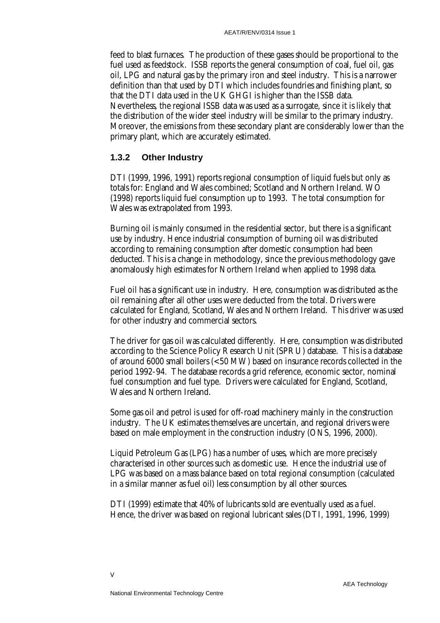feed to blast furnaces. The production of these gases should be proportional to the fuel used as feedstock. ISSB reports the general consumption of coal, fuel oil, gas oil, LPG and natural gas by the primary iron and steel industry. This is a narrower definition than that used by DTI which includes foundries and finishing plant, so that the DTI data used in the UK GHGI is higher than the ISSB data. Nevertheless, the regional ISSB data was used as a surrogate, since it is likely that the distribution of the wider steel industry will be similar to the primary industry. Moreover, the emissions from these secondary plant are considerably lower than the primary plant, which are accurately estimated.

## **1.3.2 Other Industry**

DTI (1999, 1996, 1991) reports regional consumption of liquid fuels but only as totals for: England and Wales combined; Scotland and Northern Ireland. WO (1998) reports liquid fuel consumption up to 1993. The total consumption for Wales was extrapolated from 1993.

Burning oil is mainly consumed in the residential sector, but there is a significant use by industry. Hence industrial consumption of burning oil was distributed according to remaining consumption after domestic consumption had been deducted. This is a change in methodology, since the previous methodology gave anomalously high estimates for Northern Ireland when applied to 1998 data.

Fuel oil has a significant use in industry. Here, consumption was distributed as the oil remaining after all other uses were deducted from the total. Drivers were calculated for England, Scotland, Wales and Northern Ireland. This driver was used for other industry and commercial sectors.

The driver for gas oil was calculated differently. Here, consumption was distributed according to the Science Policy Research Unit (SPRU) database. This is a database of around 6000 small boilers (<50 MW) based on insurance records collected in the period 1992-94. The database records a grid reference, economic sector, nominal fuel consumption and fuel type. Drivers were calculated for England, Scotland, Wales and Northern Ireland.

Some gas oil and petrol is used for off-road machinery mainly in the construction industry. The UK estimates themselves are uncertain, and regional drivers were based on male employment in the construction industry (ONS, 1996, 2000).

Liquid Petroleum Gas (LPG) has a number of uses, which are more precisely characterised in other sources such as domestic use. Hence the industrial use of LPG was based on a mass balance based on total regional consumption (calculated in a similar manner as fuel oil) less consumption by all other sources.

DTI (1999) estimate that 40% of lubricants sold are eventually used as a fuel. Hence, the driver was based on regional lubricant sales (DTI, 1991, 1996, 1999)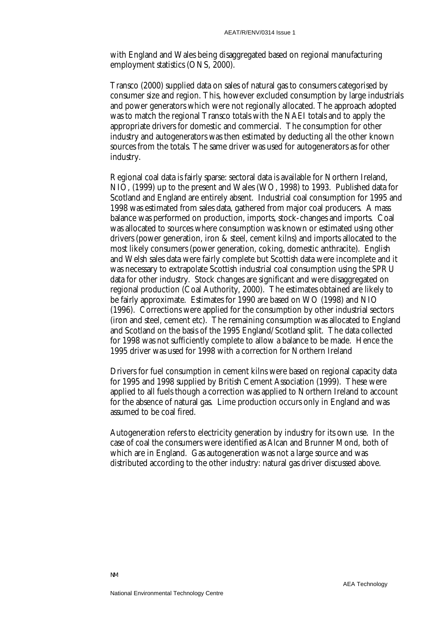with England and Wales being disaggregated based on regional manufacturing employment statistics (ONS, 2000).

Transco (2000) supplied data on sales of natural gas to consumers categorised by consumer size and region. This, however excluded consumption by large industrials and power generators which were not regionally allocated. The approach adopted was to match the regional Transco totals with the NAEI totals and to apply the appropriate drivers for domestic and commercial. The consumption for other industry and autogenerators was then estimated by deducting all the other known sources from the totals. The same driver was used for autogenerators as for other industry.

Regional coal data is fairly sparse: sectoral data is available for Northern Ireland, NIO, (1999) up to the present and Wales (WO, 1998) to 1993. Published data for Scotland and England are entirely absent. Industrial coal consumption for 1995 and 1998 was estimated from sales data, gathered from major coal producers. A mass balance was performed on production, imports, stock-changes and imports. Coal was allocated to sources where consumption was known or estimated using other drivers (power generation, iron & steel, cement kilns) and imports allocated to the most likely consumers (power generation, coking, domestic anthracite). English and Welsh sales data were fairly complete but Scottish data were incomplete and it was necessary to extrapolate Scottish industrial coal consumption using the SPRU data for other industry. Stock changes are significant and were disaggregated on regional production (Coal Authority, 2000). The estimates obtained are likely to be fairly approximate. Estimates for 1990 are based on WO (1998) and NIO (1996). Corrections were applied for the consumption by other industrial sectors (iron and steel, cement etc). The remaining consumption was allocated to England and Scotland on the basis of the 1995 England/Scotland split. The data collected for 1998 was not sufficiently complete to allow a balance to be made. Hence the 1995 driver was used for 1998 with a correction for Northern Ireland

Drivers for fuel consumption in cement kilns were based on regional capacity data for 1995 and 1998 supplied by British Cement Association (1999). These were applied to all fuels though a correction was applied to Northern Ireland to account for the absence of natural gas. Lime production occurs only in England and was assumed to be coal fired.

Autogeneration refers to electricity generation by industry for its own use. In the case of coal the consumers were identified as Alcan and Brunner Mond, both of which are in England. Gas autogeneration was not a large source and was distributed according to the other industry: natural gas driver discussed above.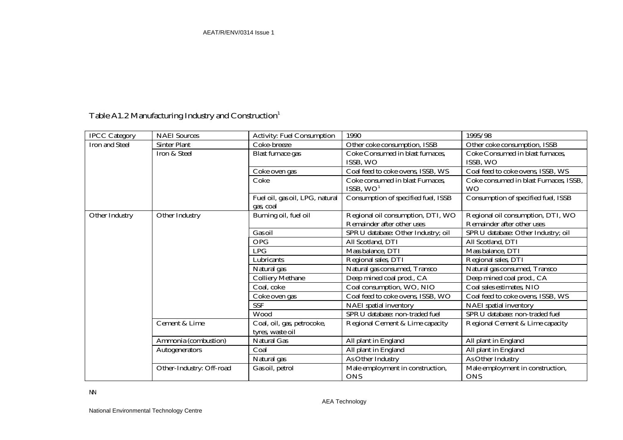# Table A1.2 Manufacturing Industry and Construction<sup>1</sup>

| <b>IPCC Category</b>  | <b>NAEI</b> Sources      | <b>Activity: Fuel Consumption</b> | 1990                                | 1995/98                                |
|-----------------------|--------------------------|-----------------------------------|-------------------------------------|----------------------------------------|
| <b>Iron and Steel</b> | <b>Sinter Plant</b>      | Coke-breeze                       | Other coke consumption, ISSB        | Other coke consumption, ISSB           |
|                       | Iron & Steel             | <b>Blast furnace gas</b>          | Coke Consumed in blast furnaces,    | Coke Consumed in blast furnaces,       |
|                       |                          |                                   | ISSB, WO                            | ISSB, WO                               |
|                       |                          | Coke oven gas                     | Coal feed to coke ovens, ISSB, WS   | Coal feed to coke ovens, ISSB, WS      |
|                       |                          | Coke                              | Coke consumed in blast Furnaces,    | Coke consumed in blast Furnaces, ISSB, |
|                       |                          |                                   | ISSB, $WO1$                         | <b>WO</b>                              |
|                       |                          | Fuel oil, gas oil, LPG, natural   | Consumption of specified fuel, ISSB | Consumption of specified fuel, ISSB    |
|                       |                          | gas, coal                         |                                     |                                        |
| <b>Other Industry</b> | <b>Other Industry</b>    | Burning oil, fuel oil             | Regional oil consumption, DTI, WO   | Regional oil consumption, DTI, WO      |
|                       |                          |                                   | Remainder after other uses          | Remainder after other uses             |
|                       |                          | Gas oil                           | SPRU database: Other Industry; oil  | SPRU database: Other Industry; oil     |
|                       |                          | <b>OPG</b>                        | All Scotland, DTI                   | All Scotland, DTI                      |
|                       |                          | <b>LPG</b>                        | Mass balance, DTI                   | Mass balance, DTI                      |
|                       |                          | Lubricants                        | Regional sales, DTI                 | Regional sales, DTI                    |
|                       |                          | Natural gas                       | Natural gas consumed, Transco       | Natural gas consumed, Transco          |
|                       |                          | <b>Colliery Methane</b>           | Deep mined coal prod., CA           | Deep mined coal prod., CA              |
|                       |                          | Coal, coke                        | Coal consumption, WO, NIO           | Coal sales estimates, NIO              |
|                       |                          | Coke oven gas                     | Coal feed to coke ovens, ISSB, WO   | Coal feed to coke ovens, ISSB, WS      |
|                       |                          | <b>SSF</b>                        | <b>NAEI</b> spatial inventory       | NAEI spatial inventory                 |
|                       |                          | Wood                              | SPRU database: non-traded fuel      | SPRU database: non-traded fuel         |
|                       | Cement & Lime            | Coal, oil, gas, petrocoke,        | Regional Cement & Lime capacity     | Regional Cement & Lime capacity        |
|                       |                          | tyres, waste oil                  |                                     |                                        |
|                       | Ammonia (combustion)     | <b>Natural Gas</b>                | All plant in England                | All plant in England                   |
|                       | <b>Autogenerators</b>    | Coal                              | All plant in England                | All plant in England                   |
|                       |                          | Natural gas                       | As Other Industry                   | As Other Industry                      |
|                       | Other-Industry: Off-road | Gas oil, petrol                   | Male employment in construction,    | Male employment in construction,       |
|                       |                          |                                   | <b>ONS</b>                          | <b>ONS</b>                             |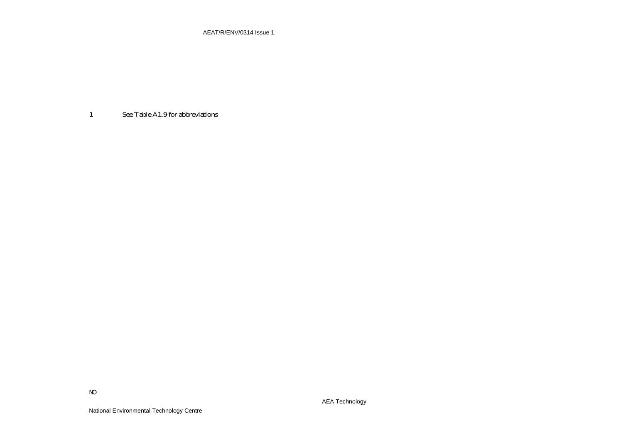AEAT/R/ENV/0314 Issue 1

1 See Table A1.9 for abbreviations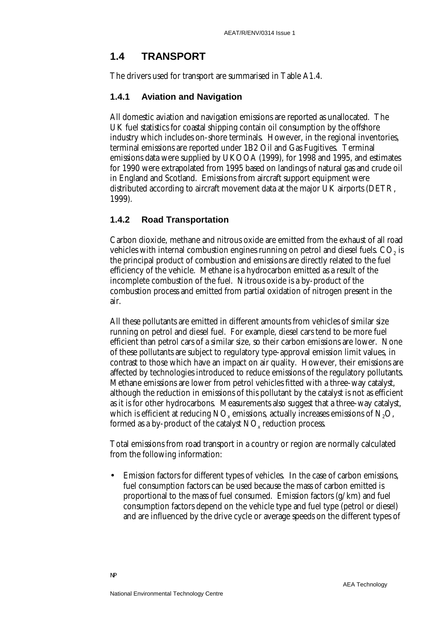# **1.4 TRANSPORT**

The drivers used for transport are summarised in Table A1.4.

## **1.4.1 Aviation and Navigation**

All domestic aviation and navigation emissions are reported as unallocated. The UK fuel statistics for coastal shipping contain oil consumption by the offshore industry which includes on-shore terminals. However, in the regional inventories, terminal emissions are reported under 1B2 Oil and Gas Fugitives. Terminal emissions data were supplied by UKOOA (1999), for 1998 and 1995, and estimates for 1990 were extrapolated from 1995 based on landings of natural gas and crude oil in England and Scotland. Emissions from aircraft support equipment were distributed according to aircraft movement data at the major UK airports (DETR, 1999).

## **1.4.2 Road Transportation**

Carbon dioxide, methane and nitrous oxide are emitted from the exhaust of all road vehicles with internal combustion engines running on petrol and diesel fuels.  $CO<sub>2</sub>$  is the principal product of combustion and emissions are directly related to the fuel efficiency of the vehicle. Methane is a hydrocarbon emitted as a result of the incomplete combustion of the fuel. Nitrous oxide is a by-product of the combustion process and emitted from partial oxidation of nitrogen present in the air.

All these pollutants are emitted in different amounts from vehicles of similar size running on petrol and diesel fuel. For example, diesel cars tend to be more fuel efficient than petrol cars of a similar size, so their carbon emissions are lower. None of these pollutants are subject to regulatory type-approval emission limit values, in contrast to those which have an impact on air quality. However, their emissions are affected by technologies introduced to reduce emissions of the regulatory pollutants. Methane emissions are lower from petrol vehicles fitted with a three-way catalyst, although the reduction in emissions of this pollutant by the catalyst is not as efficient as it is for other hydrocarbons. Measurements also suggest that a three-way catalyst, which is efficient at reducing  $NO<sub>x</sub>$  emissions, actually increases emissions of  $N<sub>2</sub>O$ , formed as a by-product of the catalyst  $NO<sub>x</sub>$  reduction process.

Total emissions from road transport in a country or region are normally calculated from the following information:

• Emission factors for different types of vehicles. In the case of carbon emissions, fuel consumption factors can be used because the mass of carbon emitted is proportional to the mass of fuel consumed. Emission factors (g/km) and fuel consumption factors depend on the vehicle type and fuel type (petrol or diesel) and are influenced by the drive cycle or average speeds on the different types of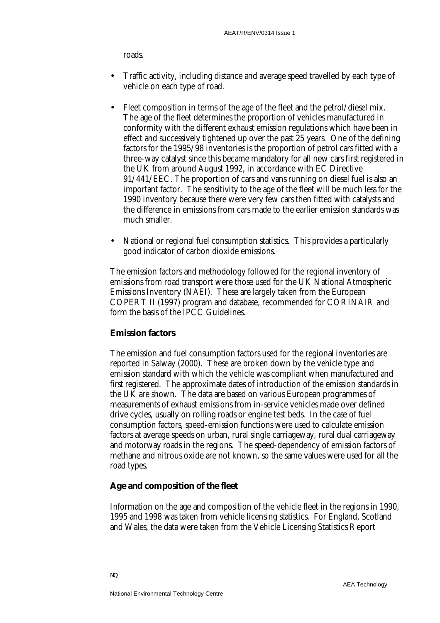roads.

- Traffic activity, including distance and average speed travelled by each type of vehicle on each type of road.
- Fleet composition in terms of the age of the fleet and the petrol/diesel mix. The age of the fleet determines the proportion of vehicles manufactured in conformity with the different exhaust emission regulations which have been in effect and successively tightened up over the past 25 years. One of the defining factors for the 1995/98 inventories is the proportion of petrol cars fitted with a three-way catalyst since this became mandatory for all new cars first registered in the UK from around August 1992, in accordance with EC Directive 91/441/EEC. The proportion of cars and vans running on diesel fuel is also an important factor. The sensitivity to the age of the fleet will be much less for the 1990 inventory because there were very few cars then fitted with catalysts and the difference in emissions from cars made to the earlier emission standards was much smaller.
- National or regional fuel consumption statistics. This provides a particularly good indicator of carbon dioxide emissions.

The emission factors and methodology followed for the regional inventory of emissions from road transport were those used for the UK National Atmospheric Emissions Inventory (NAEI). These are largely taken from the European COPERT II (1997) program and database, recommended for CORINAIR and form the basis of the IPCC Guidelines.

#### **Emission factors**

The emission and fuel consumption factors used for the regional inventories are reported in Salway (2000). These are broken down by the vehicle type and emission standard with which the vehicle was compliant when manufactured and first registered. The approximate dates of introduction of the emission standards in the UK are shown. The data are based on various European programmes of measurements of exhaust emissions from in-service vehicles made over defined drive cycles, usually on rolling roads or engine test beds. In the case of fuel consumption factors, speed-emission functions were used to calculate emission factors at average speeds on urban, rural single carriageway, rural dual carriageway and motorway roads in the regions. The speed-dependency of emission factors of methane and nitrous oxide are not known, so the same values were used for all the road types.

#### **Age and composition of the fleet**

Information on the age and composition of the vehicle fleet in the regions in 1990, 1995 and 1998 was taken from vehicle licensing statistics. For England, Scotland and Wales, the data were taken from the Vehicle Licensing Statistics Report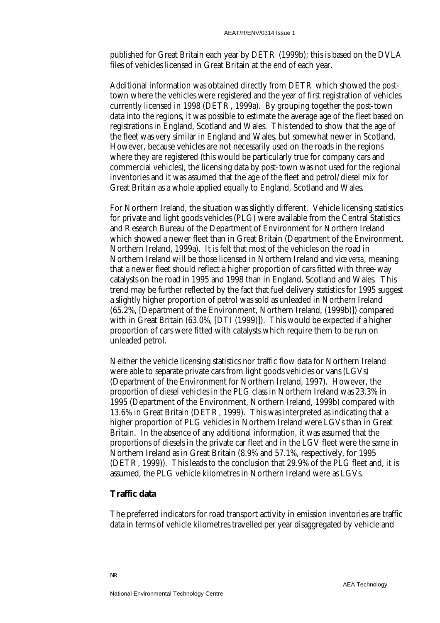published for Great Britain each year by DETR (1999b); this is based on the DVLA files of vehicles licensed in Great Britain at the end of each year.

Additional information was obtained directly from DETR which showed the posttown where the vehicles were registered and the year of first registration of vehicles currently licensed in 1998 (DETR, 1999a). By grouping together the post-town data into the regions, it was possible to estimate the average age of the fleet based on registrations in England, Scotland and Wales. This tended to show that the age of the fleet was very similar in England and Wales, but somewhat newer in Scotland. However, because vehicles are not necessarily used on the roads in the regions where they are registered (this would be particularly true for company cars and commercial vehicles), the licensing data by post-town was not used for the regional inventories and it was assumed that the age of the fleet and petrol/diesel mix for Great Britain as a whole applied equally to England, Scotland and Wales.

For Northern Ireland, the situation was slightly different. Vehicle licensing statistics for private and light goods vehicles (PLG) were available from the Central Statistics and Research Bureau of the Department of Environment for Northern Ireland which showed a newer fleet than in Great Britain (Department of the Environment, Northern Ireland, 1999a). It is felt that most of the vehicles on the road in Northern Ireland will be those licensed in Northern Ireland and *vice versa*, meaning that a newer fleet should reflect a higher proportion of cars fitted with three-way catalysts on the road in 1995 and 1998 than in England, Scotland and Wales. This trend may be further reflected by the fact that fuel delivery statistics for 1995 suggest a slightly higher proportion of petrol was sold as unleaded in Northern Ireland (65.2%, [Department of the Environment, Northern Ireland, (1999b)]) compared with in Great Britain (63.0%, [DTI (1999)]). This would be expected if a higher proportion of cars were fitted with catalysts which require them to be run on unleaded petrol.

Neither the vehicle licensing statistics nor traffic flow data for Northern Ireland were able to separate private cars from light goods vehicles or vans (LGVs) (Department of the Environment for Northern Ireland, 1997). However, the proportion of diesel vehicles in the PLG class in Northern Ireland was 23.3% in 1995 (Department of the Environment, Northern Ireland, 1999b) compared with 13.6% in Great Britain (DETR, 1999). This was interpreted as indicating that a higher proportion of PLG vehicles in Northern Ireland were LGVs than in Great Britain. In the absence of any additional information, it was assumed that the proportions of diesels in the private car fleet and in the LGV fleet were the same in Northern Ireland as in Great Britain (8.9% and 57.1%, respectively, for 1995 (DETR, 1999)). This leads to the conclusion that 29.9% of the PLG fleet and, it is assumed, the PLG vehicle kilometres in Northern Ireland were as LGVs.

#### **Traffic data**

NR

The preferred indicators for road transport activity in emission inventories are traffic data in terms of vehicle kilometres travelled per year disaggregated by vehicle and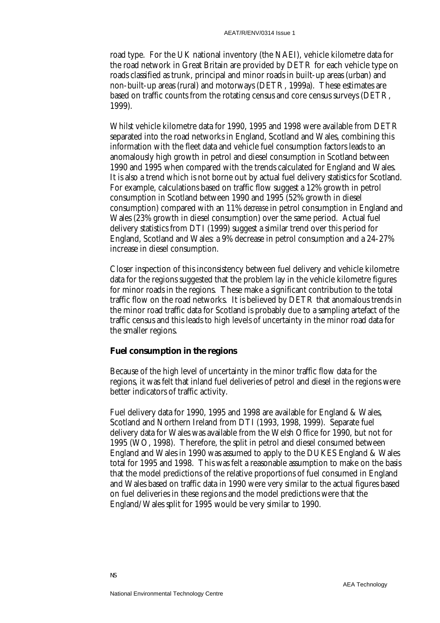road type. For the UK national inventory (the NAEI), vehicle kilometre data for the road network in Great Britain are provided by DETR for each vehicle type on roads classified as trunk, principal and minor roads in built-up areas (urban) and non-built-up areas (rural) and motorways (DETR, 1999a). These estimates are based on traffic counts from the rotating census and core census surveys (DETR, 1999).

Whilst vehicle kilometre data for 1990, 1995 and 1998 were available from DETR separated into the road networks in England, Scotland and Wales, combining this information with the fleet data and vehicle fuel consumption factors leads to an anomalously high growth in petrol and diesel consumption in Scotland between 1990 and 1995 when compared with the trends calculated for England and Wales. It is also a trend which is not borne out by actual fuel delivery statistics for Scotland. For example, calculations based on traffic flow suggest a 12% growth in petrol consumption in Scotland between 1990 and 1995 (52% growth in diesel consumption) compared with an 11% *decrease* in petrol consumption in England and Wales (23% growth in diesel consumption) over the same period. Actual fuel delivery statistics from DTI (1999) suggest a similar trend over this period for England, Scotland and Wales: a 9% decrease in petrol consumption and a 24-27% increase in diesel consumption.

Closer inspection of this inconsistency between fuel delivery and vehicle kilometre data for the regions suggested that the problem lay in the vehicle kilometre figures for minor roads in the regions. These make a significant contribution to the total traffic flow on the road networks. It is believed by DETR that anomalous trends in the minor road traffic data for Scotland is probably due to a sampling artefact of the traffic census and this leads to high levels of uncertainty in the minor road data for the smaller regions.

#### **Fuel consumption in the regions**

Because of the high level of uncertainty in the minor traffic flow data for the regions, it was felt that inland fuel deliveries of petrol and diesel in the regions were better indicators of traffic activity.

Fuel delivery data for 1990, 1995 and 1998 are available for England & Wales, Scotland and Northern Ireland from DTI (1993, 1998, 1999). Separate fuel delivery data for Wales was available from the Welsh Office for 1990, but not for 1995 (WO, 1998). Therefore, the split in petrol and diesel consumed between England and Wales in 1990 was assumed to apply to the DUKES England & Wales total for 1995 and 1998. This was felt a reasonable assumption to make on the basis that the model predictions of the relative proportions of fuel consumed in England and Wales based on traffic data in 1990 were very similar to the actual figures based on fuel deliveries in these regions and the model predictions were that the England/Wales split for 1995 would be very similar to 1990.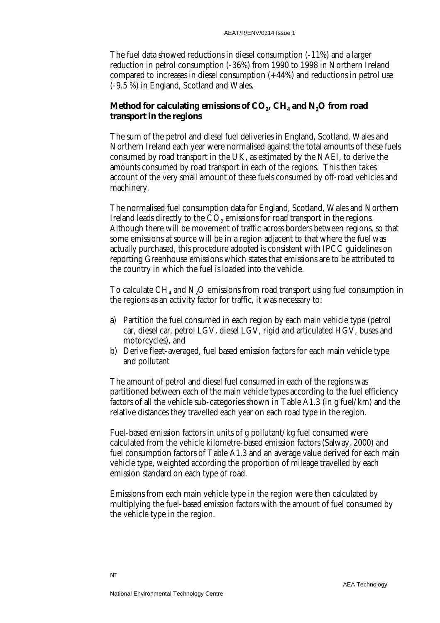The fuel data showed reductions in diesel consumption (-11%) and a larger reduction in petrol consumption (-36%) from 1990 to 1998 in Northern Ireland compared to increases in diesel consumption (+44%) and reductions in petrol use (-9.5 %) in England, Scotland and Wales.

## Method for calculating emissions of CO<sub>2</sub>, CH<sub>4</sub> and N<sub>2</sub>O from road **transport in the regions**

The sum of the petrol and diesel fuel deliveries in England, Scotland, Wales and Northern Ireland each year were normalised against the total amounts of these fuels consumed by road transport in the UK, as estimated by the NAEI, to derive the amounts consumed by road transport in each of the regions. This then takes account of the very small amount of these fuels consumed by off-road vehicles and machinery.

The normalised fuel consumption data for England, Scotland, Wales and Northern Ireland leads directly to the CO<sub>2</sub> emissions for road transport in the regions. Although there will be movement of traffic across borders between regions, so that some emissions at source will be in a region adjacent to that where the fuel was actually purchased, this procedure adopted is consistent with IPCC guidelines on reporting Greenhouse emissions which states that emissions are to be attributed to the country in which the fuel is loaded into the vehicle.

To calculate  $CH<sub>4</sub>$  and N<sub>2</sub>O emissions from road transport using fuel consumption in the regions as an activity factor for traffic, it was necessary to:

- a) Partition the fuel consumed in each region by each main vehicle type (petrol car, diesel car, petrol LGV, diesel LGV, rigid and articulated HGV, buses and motorcycles), and
- b) Derive fleet-averaged, fuel based emission factors for each main vehicle type and pollutant

The amount of petrol and diesel fuel consumed in each of the regions was partitioned between each of the main vehicle types according to the fuel efficiency factors of all the vehicle sub-categories shown in Table A1.3 (in g fuel/km) and the relative distances they travelled each year on each road type in the region.

Fuel-based emission factors in units of g pollutant/kg fuel consumed were calculated from the vehicle kilometre-based emission factors (Salway, 2000) and fuel consumption factors of Table A1.3 and an average value derived for each main vehicle type, weighted according the proportion of mileage travelled by each emission standard on each type of road.

Emissions from each main vehicle type in the region were then calculated by multiplying the fuel-based emission factors with the amount of fuel consumed by the vehicle type in the region.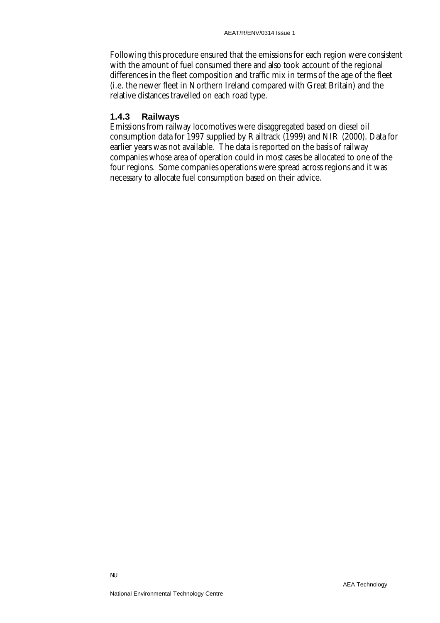Following this procedure ensured that the emissions for each region were consistent with the amount of fuel consumed there and also took account of the regional differences in the fleet composition and traffic mix in terms of the age of the fleet (i.e. the newer fleet in Northern Ireland compared with Great Britain) and the relative distances travelled on each road type.

## **1.4.3 Railways**

Emissions from railway locomotives were disaggregated based on diesel oil consumption data for 1997 supplied by Railtrack (1999) and NIR (2000). Data for earlier years was not available. The data is reported on the basis of railway companies whose area of operation could in most cases be allocated to one of the four regions. Some companies operations were spread across regions and it was necessary to allocate fuel consumption based on their advice.

NU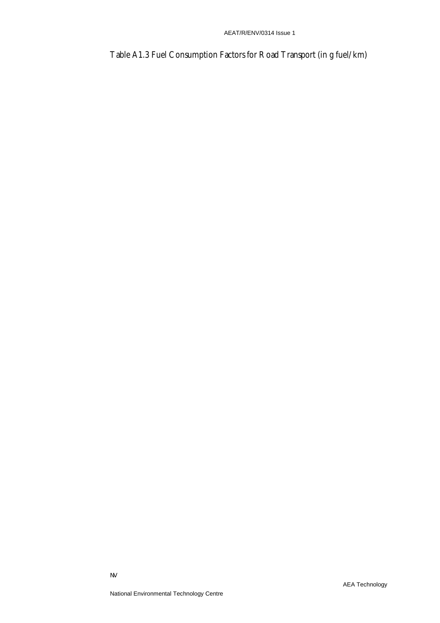Table A1.3 Fuel Consumption Factors for Road Transport (in g fuel/km)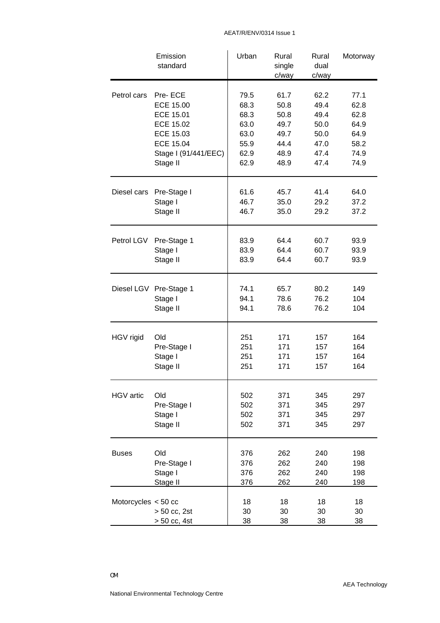|                       | Emission<br>standard         | Urban          | Rural<br>single<br>c/way | Rural<br>dual<br>c/way | Motorway       |
|-----------------------|------------------------------|----------------|--------------------------|------------------------|----------------|
| Petrol cars           | Pre-ECE                      | 79.5           | 61.7                     | 62.2                   | 77.1           |
|                       | <b>ECE 15.00</b>             | 68.3           | 50.8                     | 49.4                   | 62.8           |
|                       | ECE 15.01                    | 68.3           | 50.8                     | 49.4                   | 62.8           |
|                       | <b>ECE 15.02</b>             | 63.0           | 49.7                     | 50.0                   | 64.9           |
|                       | <b>ECE 15.03</b>             | 63.0           | 49.7                     | 50.0                   | 64.9           |
|                       | <b>ECE 15.04</b>             | 55.9           | 44.4                     | 47.0                   | 58.2           |
|                       | Stage I (91/441/EEC)         | 62.9           | 48.9                     | 47.4                   | 74.9           |
|                       | Stage II                     | 62.9           | 48.9                     | 47.4                   | 74.9           |
| Diesel cars           | Pre-Stage I                  | 61.6           | 45.7                     | 41.4                   | 64.0           |
|                       | Stage I                      | 46.7           | 35.0                     | 29.2                   | 37.2           |
|                       | Stage II                     | 46.7           | 35.0                     | 29.2                   | 37.2           |
| Petrol LGV            | Pre-Stage 1                  | 83.9           | 64.4                     | 60.7                   | 93.9           |
|                       | Stage I                      | 83.9           | 64.4                     | 60.7                   | 93.9           |
|                       | Stage II                     | 83.9           | 64.4                     | 60.7                   | 93.9           |
|                       | Diesel LGV Pre-Stage 1       | 74.1           | 65.7                     | 80.2                   | 149            |
|                       | Stage I                      | 94.1           | 78.6                     | 76.2                   | 104            |
|                       | Stage II                     | 94.1           | 78.6                     | 76.2                   | 104            |
| HGV rigid             | Old                          | 251            | 171                      | 157                    | 164            |
|                       | Pre-Stage I                  | 251            | 171                      | 157                    | 164            |
|                       | Stage I                      | 251            | 171                      | 157                    | 164            |
|                       | Stage II                     | 251            | 171                      | 157                    | 164            |
| HGV artic             | Old                          | 502            | 371                      | 345                    | 297            |
|                       | Pre-Stage I                  | 502            | 371                      | 345                    | 297            |
|                       | Stage I                      | 502            | 371                      | 345                    | 297            |
|                       | Stage II                     | 502            | 371                      | 345                    | 297            |
| <b>Buses</b>          | Old                          | 376            | 262                      | 240                    | 198            |
|                       | Pre-Stage I                  | 376            | 262                      | 240                    | 198            |
|                       | Stage I                      | 376            | 262                      | 240                    | 198            |
|                       | Stage II                     | 376            | 262                      | 240                    | 198            |
| Motorcycles $<$ 50 cc | > 50 cc, 2st<br>> 50 cc, 4st | 18<br>30<br>38 | 18<br>30<br>38           | 18<br>30<br>38         | 18<br>30<br>38 |

#### AEAT/R/ENV/0314 Issue 1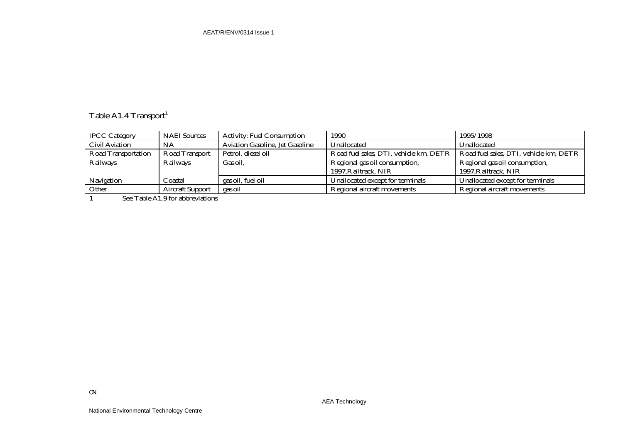# Table A1.4 Transport<sup>1</sup>

| <b>IPCC Category</b>       | <b>NAEI</b> Sources     | <b>Activity: Fuel Consumption</b>      | 1990                                   | 1995/1998                              |
|----------------------------|-------------------------|----------------------------------------|----------------------------------------|----------------------------------------|
| <b>Civil Aviation</b>      | <b>NA</b>               | <b>Aviation Gasoline, Jet Gasoline</b> | Unallocated                            | Unallocated                            |
| <b>Road Transportation</b> | <b>Road Transport</b>   | Petrol, diesel oil                     | Road fuel sales, DTI, vehicle km, DETR | Road fuel sales, DTI, vehicle km, DETR |
| Railways                   | Railways                | Gas oil,                               | Regional gas oil consumption,          | Regional gas oil consumption,          |
|                            |                         |                                        | 1997, Railtrack, NIR                   | 1997, Railtrack, NIR                   |
| Navigation                 | Coastal                 | gas oil, fuel oil                      | Unallocated except for terminals       | Unallocated except for terminals       |
| Other                      | <b>Aircraft Support</b> | gas oil                                | Regional aircraft movements            | Regional aircraft movements            |
| T11440011                  |                         |                                        |                                        |                                        |

1 See Table A1.9 for abbreviations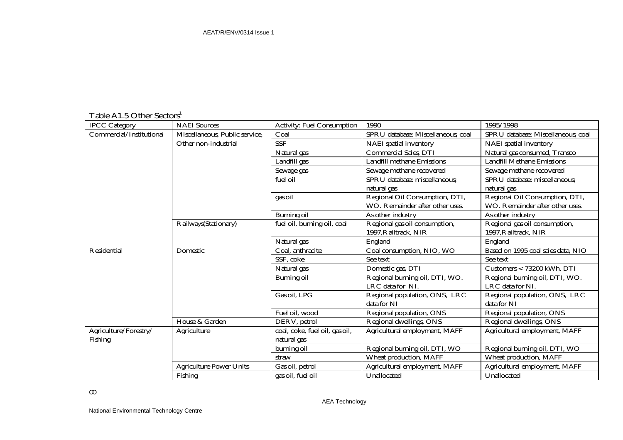## Table A1.5 Other Sectors<sup>1</sup>

| <b>IPCC Category</b>     | <b>NAEI</b> Sources            | <b>Activity: Fuel Consumption</b> | 1990                               | 1995/1998                          |
|--------------------------|--------------------------------|-----------------------------------|------------------------------------|------------------------------------|
| Commercial/Institutional | Miscellaneous, Public service, | Coal                              | SPRU database: Miscellaneous; coal | SPRU database: Miscellaneous; coal |
|                          | Other non-industrial           | <b>SSF</b>                        | <b>NAEI</b> spatial inventory      | <b>NAEI</b> spatial inventory      |
|                          |                                | Natural gas                       | <b>Commercial Sales, DTI</b>       | Natural gas consumed, Transco      |
|                          |                                | Landfill gas                      | <b>Landfill methane Emissions</b>  | <b>Landfill Methane Emissions</b>  |
|                          |                                | Sewage gas                        | Sewage methane recovered           | Sewage methane recovered           |
|                          |                                | fuel oil                          | SPRU database: miscellaneous;      | SPRU database: miscellaneous;      |
|                          |                                |                                   | natural gas                        | natural gas                        |
|                          |                                | gas oil                           | Regional Oil Consumption, DTI,     | Regional Oil Consumption, DTI,     |
|                          |                                |                                   | WO. Remainder after other uses.    | WO. Remainder after other uses.    |
|                          |                                | <b>Burning oil</b>                | As other industry                  | As other industry                  |
|                          | Railways(Stationary)           | fuel oil, burning oil, coal       | Regional gas oil consumption,      | Regional gas oil consumption,      |
|                          |                                |                                   | 1997, Railtrack, NIR               | 1997, Railtrack, NIR               |
|                          |                                | Natural gas                       | England                            | England                            |
| Residential              | Domestic                       | Coal, anthracite                  | Coal consumption, NIO, WO          | Based on 1995 coal sales data, NIO |
|                          |                                | SSF, coke                         | See text                           | See text                           |
|                          |                                | Natural gas                       | Domestic gas, DTI                  | Customers < 73200 kWh, DTI         |
|                          |                                | <b>Burning oil</b>                | Regional burning oil, DTI, WO.     | Regional burning oil, DTI, WO.     |
|                          |                                |                                   | LRC data for NI.                   | LRC data for NI.                   |
|                          |                                | Gas oil, LPG                      | Regional population, ONS, LRC      | Regional population, ONS, LRC      |
|                          |                                |                                   | data for NI                        | data for NI                        |
|                          |                                | Fuel oil, wood                    | Regional population, ONS           | Regional population, ONS           |
|                          | House & Garden                 | DERV, petrol                      | Regional dwellings, ONS            | Regional dwellings, ONS            |
| Agriculture/Forestry/    | Agriculture                    | coal, coke, fuel oil, gas oil,    | Agricultural employment, MAFF      | Agricultural employment, MAFF      |
| Fishing                  |                                | natural gas                       |                                    |                                    |
|                          |                                | burning oil                       | Regional burning oil, DTI, WO      | Regional burning oil, DTI, WO      |
|                          |                                | straw                             | <b>Wheat production, MAFF</b>      | Wheat production, MAFF             |
|                          | <b>Agriculture Power Units</b> | Gas oil, petrol                   | Agricultural employment, MAFF      | Agricultural employment, MAFF      |
|                          | Fishing                        | gas oil, fuel oil                 | Unallocated                        | Unallocated                        |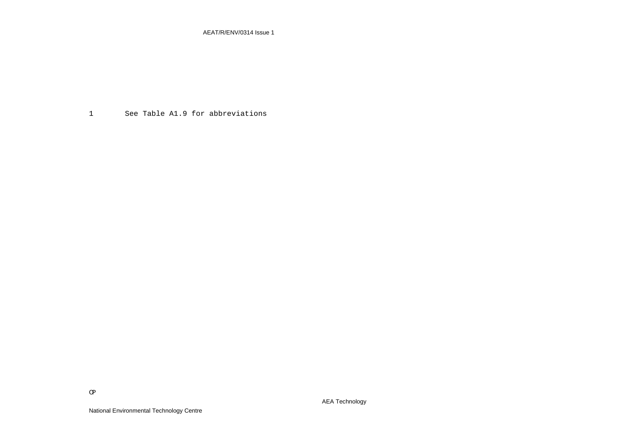AEAT/R/ENV/0314 Issue 1

1 See Table A1.9 for abbreviations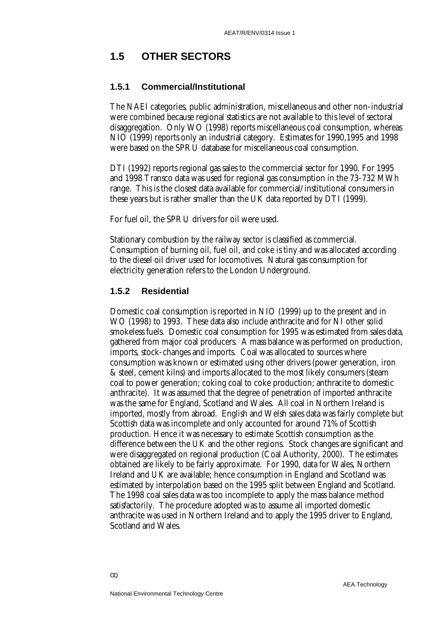# **1.5 OTHER SECTORS**

#### **1.5.1 Commercial/Institutional**

The NAEI categories, public administration, miscellaneous and other non-industrial were combined because regional statistics are not available to this level of sectoral disaggregation. Only WO (1998) reports miscellaneous coal consumption, whereas NIO (1999) reports only an industrial category. Estimates for 1990,1995 and 1998 were based on the SPRU database for miscellaneous coal consumption.

DTI (1992) reports regional gas sales to the commercial sector for 1990. For 1995 and 1998 Transco data was used for regional gas consumption in the 73-732 MWh range. This is the closest data available for commercial/institutional consumers in these years but is rather smaller than the UK data reported by DTI (1999).

For fuel oil, the SPRU drivers for oil were used.

Stationary combustion by the railway sector is classified as commercial. Consumption of burning oil, fuel oil, and coke is tiny and was allocated according to the diesel oil driver used for locomotives. Natural gas consumption for electricity generation refers to the London Underground.

#### **1.5.2 Residential**

Domestic coal consumption is reported in NIO (1999) up to the present and in WO (1998) to 1993. These data also include anthracite and for NI other solid smokeless fuels. Domestic coal consumption for 1995 was estimated from sales data, gathered from major coal producers. A mass balance was performed on production, imports, stock-changes and imports. Coal was allocated to sources where consumption was known or estimated using other drivers (power generation, iron & steel, cement kilns) and imports allocated to the most likely consumers (steam coal to power generation; coking coal to coke production; anthracite to domestic anthracite). It was assumed that the degree of penetration of imported anthracite was the same for England, Scotland and Wales. All coal in Northern Ireland is imported, mostly from abroad. English and Welsh sales data was fairly complete but Scottish data was incomplete and only accounted for around 71% of Scottish production. Hence it was necessary to estimate Scottish consumption as the difference between the UK and the other regions. Stock changes are significant and were disaggregated on regional production (Coal Authority, 2000). The estimates obtained are likely to be fairly approximate. For 1990, data for Wales, Northern Ireland and UK are available; hence consumption in England and Scotland was estimated by interpolation based on the 1995 split between England and Scotland. The 1998 coal sales data was too incomplete to apply the mass balance method satisfactorily. The procedure adopted was to assume all imported domestic anthracite was used in Northern Ireland and to apply the 1995 driver to England, Scotland and Wales.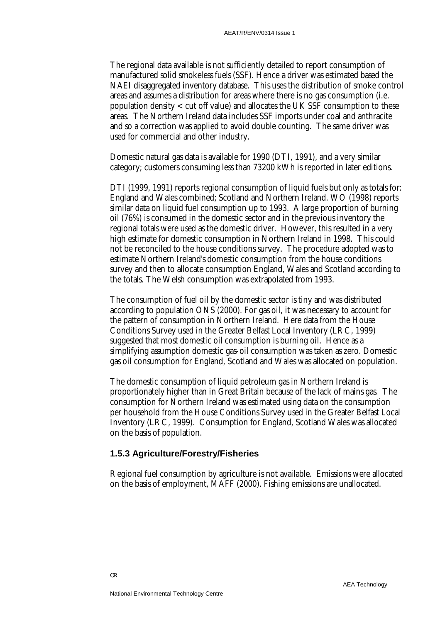The regional data available is not sufficiently detailed to report consumption of manufactured solid smokeless fuels (SSF). Hence a driver was estimated based the NAEI disaggregated inventory database. This uses the distribution of smoke control areas and assumes a distribution for areas where there is no gas consumption (i.e. population density < cut off value) and allocates the UK SSF consumption to these areas. The Northern Ireland data includes SSF imports under coal and anthracite and so a correction was applied to avoid double counting. The same driver was used for commercial and other industry.

Domestic natural gas data is available for 1990 (DTI, 1991), and a very similar category; customers consuming less than 73200 kWh is reported in later editions.

DTI (1999, 1991) reports regional consumption of liquid fuels but only as totals for: England and Wales combined; Scotland and Northern Ireland. WO (1998) reports similar data on liquid fuel consumption up to 1993. A large proportion of burning oil (76%) is consumed in the domestic sector and in the previous inventory the regional totals were used as the domestic driver. However, this resulted in a very high estimate for domestic consumption in Northern Ireland in 1998. This could not be reconciled to the house conditions survey. The procedure adopted was to estimate Northern Ireland's domestic consumption from the house conditions survey and then to allocate consumption England, Wales and Scotland according to the totals. The Welsh consumption was extrapolated from 1993.

The consumption of fuel oil by the domestic sector is tiny and was distributed according to population ONS (2000). For gas oil, it was necessary to account for the pattern of consumption in Northern Ireland. Here data from the House Conditions Survey used in the Greater Belfast Local Inventory (LRC, 1999) suggested that most domestic oil consumption is burning oil. Hence as a simplifying assumption domestic gas-oil consumption was taken as zero. Domestic gas oil consumption for England, Scotland and Wales was allocated on population.

The domestic consumption of liquid petroleum gas in Northern Ireland is proportionately higher than in Great Britain because of the lack of mains gas. The consumption for Northern Ireland was estimated using data on the consumption per household from the House Conditions Survey used in the Greater Belfast Local Inventory (LRC, 1999). Consumption for England, Scotland Wales was allocated on the basis of population.

#### **1.5.3 Agriculture/Forestry/Fisheries**

Regional fuel consumption by agriculture is not available. Emissions were allocated on the basis of employment, MAFF (2000). Fishing emissions are unallocated.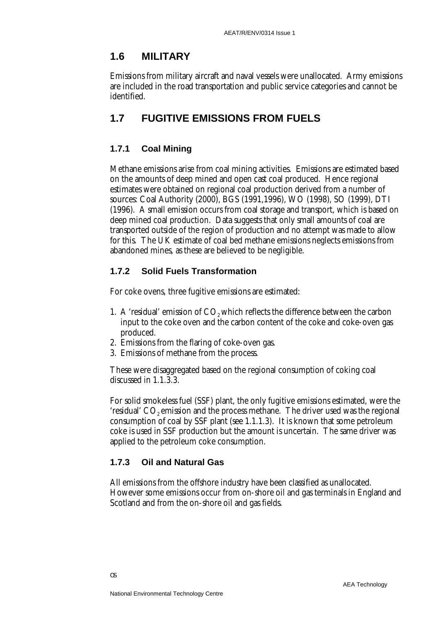## **1.6 MILITARY**

Emissions from military aircraft and naval vessels were unallocated. Army emissions are included in the road transportation and public service categories and cannot be identified.

# **1.7 FUGITIVE EMISSIONS FROM FUELS**

## **1.7.1 Coal Mining**

Methane emissions arise from coal mining activities. Emissions are estimated based on the amounts of deep mined and open cast coal produced. Hence regional estimates were obtained on regional coal production derived from a number of sources: Coal Authority (2000), BGS (1991,1996), WO (1998), SO (1999), DTI (1996). A small emission occurs from coal storage and transport, which is based on deep mined coal production. Data suggests that only small amounts of coal are transported outside of the region of production and no attempt was made to allow for this. The UK estimate of coal bed methane emissions neglects emissions from abandoned mines, as these are believed to be negligible.

## **1.7.2 Solid Fuels Transformation**

For coke ovens, three fugitive emissions are estimated:

- 1. A 'residual' emission of CO<sub>2</sub> which reflects the difference between the carbon input to the coke oven and the carbon content of the coke and coke-oven gas produced.
- 2. Emissions from the flaring of coke-oven gas.
- 3. Emissions of methane from the process.

These were disaggregated based on the regional consumption of coking coal discussed in 1.1.3.3.

For solid smokeless fuel (SSF) plant, the only fugitive emissions estimated, were the 'residual'  $CO<sub>2</sub>$  emission and the process methane. The driver used was the regional consumption of coal by SSF plant (see 1.1.1.3). It is known that some petroleum coke is used in SSF production but the amount is uncertain. The same driver was applied to the petroleum coke consumption.

## **1.7.3 Oil and Natural Gas**

All emissions from the offshore industry have been classified as unallocated. However some emissions occur from on-shore oil and gas terminals in England and Scotland and from the on-shore oil and gas fields.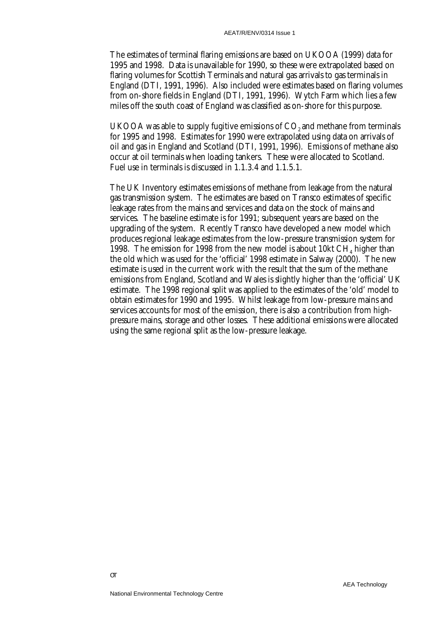The estimates of terminal flaring emissions are based on UKOOA (1999) data for 1995 and 1998. Data is unavailable for 1990, so these were extrapolated based on flaring volumes for Scottish Terminals and natural gas arrivals to gas terminals in England (DTI, 1991, 1996). Also included were estimates based on flaring volumes from on-shore fields in England (DTI, 1991, 1996). Wytch Farm which lies a few miles off the south coast of England was classified as on-shore for this purpose.

UKOOA was able to supply fugitive emissions of  $CO<sub>2</sub>$  and methane from terminals for 1995 and 1998. Estimates for 1990 were extrapolated using data on arrivals of oil and gas in England and Scotland (DTI, 1991, 1996). Emissions of methane also occur at oil terminals when loading tankers. These were allocated to Scotland. Fuel use in terminals is discussed in 1.1.3.4 and 1.1.5.1.

The UK Inventory estimates emissions of methane from leakage from the natural gas transmission system. The estimates are based on Transco estimates of specific leakage rates from the mains and services and data on the stock of mains and services. The baseline estimate is for 1991; subsequent years are based on the upgrading of the system. Recently Transco have developed a new model which produces regional leakage estimates from the low-pressure transmission system for 1998. The emission for 1998 from the new model is about 10 $kt$  CH<sub>4</sub> higher than the old which was used for the 'official' 1998 estimate in Salway (2000). The new estimate is used in the current work with the result that the sum of the methane emissions from England, Scotland and Wales is slightly higher than the 'official' UK estimate. The 1998 regional split was applied to the estimates of the 'old' model to obtain estimates for 1990 and 1995. Whilst leakage from low-pressure mains and services accounts for most of the emission, there is also a contribution from highpressure mains, storage and other losses. These additional emissions were allocated using the same regional split as the low-pressure leakage.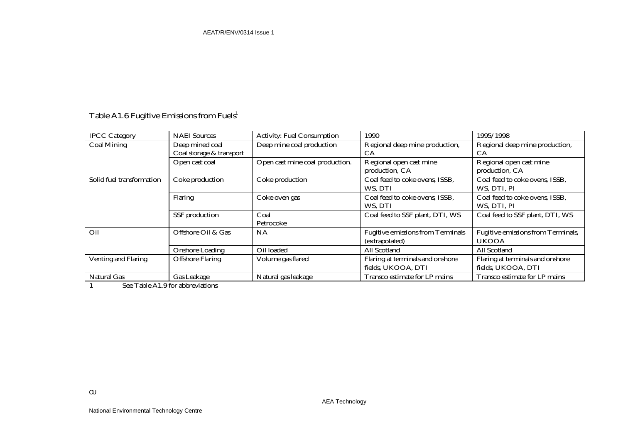# Table A1.6 Fugitive Emissions from  $\rm{Fuels^1}$

| <b>IPCC Category</b>       | <b>NAEI</b> Sources      | <b>Activity: Fuel Consumption</b> | 1990                                     | 1995/1998                          |
|----------------------------|--------------------------|-----------------------------------|------------------------------------------|------------------------------------|
| <b>Coal Mining</b>         | Deep mined coal          | Deep mine coal production         | Regional deep mine production,           | Regional deep mine production,     |
|                            | Coal storage & transport |                                   | CА                                       | CА                                 |
|                            | Open cast coal           | Open cast mine coal production.   | Regional open cast mine                  | Regional open cast mine            |
|                            |                          |                                   | production, CA                           | production, CA                     |
| Solid fuel transformation  | Coke production          | Coke production                   | Coal feed to coke ovens, ISSB,           | Coal feed to coke ovens, ISSB,     |
|                            |                          |                                   | WS. DTI                                  | WS, DTI, PI                        |
|                            | Flaring                  | Coke oven gas                     | Coal feed to coke ovens, ISSB,           | Coal feed to coke ovens, ISSB,     |
|                            |                          |                                   | WS, DTI                                  | WS, DTI, PI                        |
|                            | SSF production           | Coal                              | Coal feed to SSF plant, DTI, WS          | Coal feed to SSF plant, DTI, WS    |
|                            |                          | Petrocoke                         |                                          |                                    |
| Oil                        | Offshore Oil & Gas       | <b>NA</b>                         | <b>Fugitive emissions from Terminals</b> | Fugitive emissions from Terminals, |
|                            |                          |                                   | (extrapolated)                           | <b>UKOOA</b>                       |
|                            | <b>Onshore Loading</b>   | Oil loaded                        | All Scotland                             | All Scotland                       |
| <b>Venting and Flaring</b> | <b>Offshore Flaring</b>  | Volume gas flared                 | Flaring at terminals and onshore         | Flaring at terminals and onshore   |
|                            |                          |                                   | fields, UKOOA, DTI                       | fields, UKOOA, DTI                 |
| <b>Natural Gas</b>         | <b>Gas Leakage</b>       | Natural gas leakage               | Transco estimate for LP mains            | Transco estimate for LP mains      |

1 See Table A1.9 for abbreviations

OU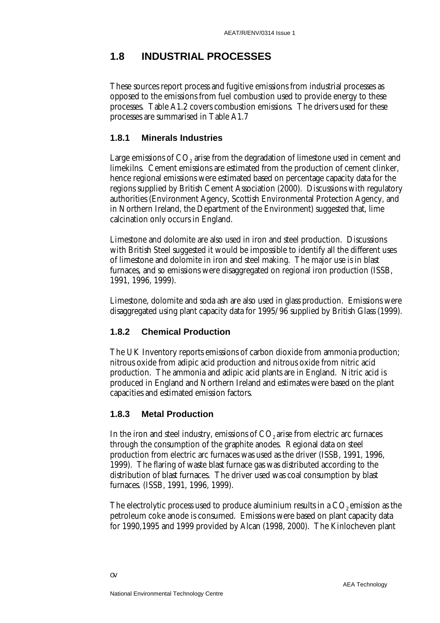# **1.8 INDUSTRIAL PROCESSES**

These sources report process and fugitive emissions from industrial processes as opposed to the emissions from fuel combustion used to provide energy to these processes. Table A1.2 covers combustion emissions. The drivers used for these processes are summarised in Table A1.7

#### **1.8.1 Minerals Industries**

Large emissions of  $CO<sub>2</sub>$  arise from the degradation of limestone used in cement and limekilns. Cement emissions are estimated from the production of cement clinker, hence regional emissions were estimated based on percentage capacity data for the regions supplied by British Cement Association (2000). Discussions with regulatory authorities (Environment Agency, Scottish Environmental Protection Agency, and in Northern Ireland, the Department of the Environment) suggested that, lime calcination only occurs in England.

Limestone and dolomite are also used in iron and steel production. Discussions with British Steel suggested it would be impossible to identify all the different uses of limestone and dolomite in iron and steel making. The major use is in blast furnaces, and so emissions were disaggregated on regional iron production (ISSB, 1991, 1996, 1999).

Limestone, dolomite and soda ash are also used in glass production. Emissions were disaggregated using plant capacity data for 1995/96 supplied by British Glass (1999).

#### **1.8.2 Chemical Production**

The UK Inventory reports emissions of carbon dioxide from ammonia production; nitrous oxide from adipic acid production and nitrous oxide from nitric acid production. The ammonia and adipic acid plants are in England. Nitric acid is produced in England and Northern Ireland and estimates were based on the plant capacities and estimated emission factors.

#### **1.8.3 Metal Production**

In the iron and steel industry, emissions of  $CO<sub>2</sub>$  arise from electric arc furnaces through the consumption of the graphite anodes. Regional data on steel production from electric arc furnaces was used as the driver (ISSB, 1991, 1996, 1999). The flaring of waste blast furnace gas was distributed according to the distribution of blast furnaces. The driver used was coal consumption by blast furnaces. (ISSB, 1991, 1996, 1999).

The electrolytic process used to produce aluminium results in a  $CO<sub>2</sub>$  emission as the petroleum coke anode is consumed. Emissions were based on plant capacity data for 1990,1995 and 1999 provided by Alcan (1998, 2000). The Kinlocheven plant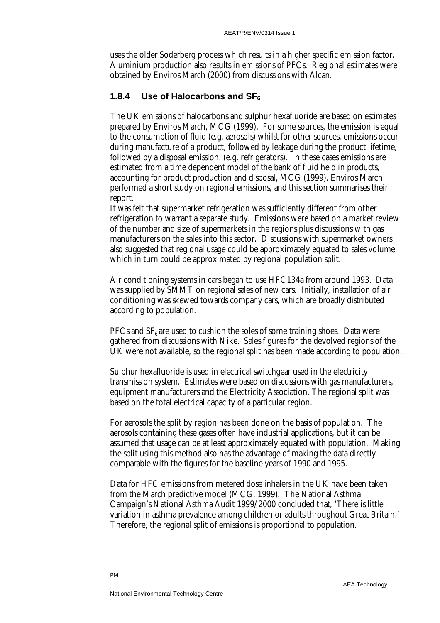uses the older Soderberg process which results in a higher specific emission factor. Aluminium production also results in emissions of PFCs. Regional estimates were obtained by Enviros March (2000) from discussions with Alcan.

#### **1.8.4 Use of Halocarbons and SF6**

The UK emissions of halocarbons and sulphur hexafluoride are based on estimates prepared by Enviros March, MCG (1999). For some sources, the emission is equal to the consumption of fluid (e.g. aerosols) whilst for other sources, emissions occur during manufacture of a product, followed by leakage during the product lifetime, followed by a disposal emission. (e.g. refrigerators). In these cases emissions are estimated from a time dependent model of the bank of fluid held in products, accounting for product production and disposal, MCG (1999). Enviros March performed a short study on regional emissions, and this section summarises their report.

It was felt that supermarket refrigeration was sufficiently different from other refrigeration to warrant a separate study. Emissions were based on a market review of the number and size of supermarkets in the regions plus discussions with gas manufacturers on the sales into this sector. Discussions with supermarket owners also suggested that regional usage could be approximately equated to sales volume, which in turn could be approximated by regional population split.

Air conditioning systems in cars began to use HFC134a from around 1993. Data was supplied by SMMT on regional sales of new cars. Initially, installation of air conditioning was skewed towards company cars, which are broadly distributed according to population.

PFCs and  $SF<sub>6</sub>$  are used to cushion the soles of some training shoes. Data were gathered from discussions with Nike. Sales figures for the devolved regions of the UK were not available, so the regional split has been made according to population.

Sulphur hexafluoride is used in electrical switchgear used in the electricity transmission system. Estimates were based on discussions with gas manufacturers, equipment manufacturers and the Electricity Association. The regional split was based on the total electrical capacity of a particular region.

For aerosols the split by region has been done on the basis of population. The aerosols containing these gases often have industrial applications, but it can be assumed that usage can be at least approximately equated with population. Making the split using this method also has the advantage of making the data directly comparable with the figures for the baseline years of 1990 and 1995.

Data for HFC emissions from metered dose inhalers in the UK have been taken from the March predictive model (MCG, 1999). The National Asthma Campaign's National Asthma Audit 1999/2000 concluded that, 'There is little variation in asthma prevalence among children or adults throughout Great Britain.' Therefore, the regional split of emissions is proportional to population.

PM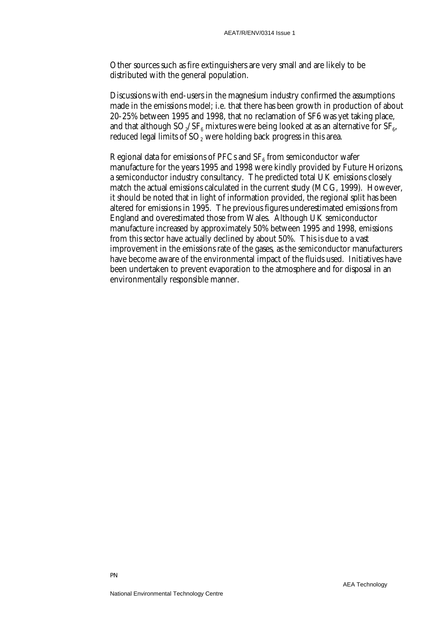Other sources such as fire extinguishers are very small and are likely to be distributed with the general population.

Discussions with end-users in the magnesium industry confirmed the assumptions made in the emissions model; i.e. that there has been growth in production of about 20-25% between 1995 and 1998, that no reclamation of SF6 was yet taking place, and that although  $SO_2/SF_6$  mixtures were being looked at as an alternative for  $SF_6$ , reduced legal limits of  $SO<sub>2</sub>$  were holding back progress in this area.

Regional data for emissions of PFCs and  $SF<sub>6</sub>$  from semiconductor wafer manufacture for the years 1995 and 1998 were kindly provided by Future Horizons, a semiconductor industry consultancy. The predicted total UK emissions closely match the actual emissions calculated in the current study (MCG, 1999). However, it should be noted that in light of information provided, the regional split has been altered for emissions in 1995. The previous figures underestimated emissions from England and overestimated those from Wales. Although UK semiconductor manufacture increased by approximately 50% between 1995 and 1998, emissions from this sector have actually declined by about 50%. This is due to a vast improvement in the emissions rate of the gases, as the semiconductor manufacturers have become aware of the environmental impact of the fluids used. Initiatives have been undertaken to prevent evaporation to the atmosphere and for disposal in an environmentally responsible manner.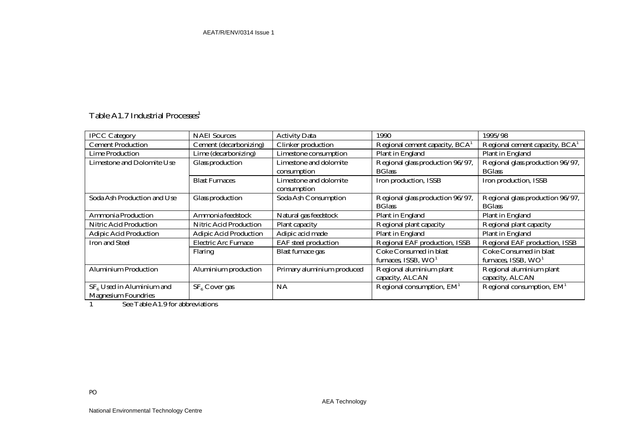# Table A1.7 Industrial Processes $1$

| <b>IPCC Category</b>              | <b>NAEI</b> Sources           | <b>Activity Data</b>        | 1990                             | 1995/98                          |
|-----------------------------------|-------------------------------|-----------------------------|----------------------------------|----------------------------------|
| <b>Cement Production</b>          | Cement (decarbonizing)        | Clinker production          | Regional cement capacity, $BCA1$ | Regional cement capacity, $BCA1$ |
| Lime Production                   | Lime (decarbonizing)          | Limestone consumption       | Plant in England                 | Plant in England                 |
| <b>Limestone and Dolomite Use</b> | Glass production              | Limestone and dolomite      | Regional glass production 96/97, | Regional glass production 96/97, |
|                                   |                               | consumption                 | <b>BG</b> lass                   | <b>BGlass</b>                    |
|                                   | <b>Blast Furnaces</b>         | Limestone and dolomite      | Iron production, ISSB            | Iron production, ISSB            |
|                                   |                               | consumption                 |                                  |                                  |
| Soda Ash Production and Use       | Glass production              | Soda Ash Consumption        | Regional glass production 96/97, | Regional glass production 96/97, |
|                                   |                               |                             | <b>BG</b> lass                   | <b>BGlass</b>                    |
| <b>Ammonia Production</b>         | Ammonia feedstock             | Natural gas feedstock       | <b>Plant in England</b>          | <b>Plant in England</b>          |
| <b>Nitric Acid Production</b>     | <b>Nitric Acid Production</b> | Plant capacity              | Regional plant capacity          | Regional plant capacity          |
| <b>Adipic Acid Production</b>     | <b>Adipic Acid Production</b> | Adipic acid made            | Plant in England                 | <b>Plant in England</b>          |
| <b>Iron and Steel</b>             | <b>Electric Arc Furnace</b>   | <b>EAF</b> steel production | Regional EAF production, ISSB    | Regional EAF production, ISSB    |
|                                   | <b>Flaring</b>                | <b>Blast furnace gas</b>    | Coke Consumed in blast           | Coke Consumed in blast           |
|                                   |                               |                             | furnaces, ISSB, $WO1$            | furnaces, ISSB, $WO1$            |
| Aluminium Production              | Aluminium production          | Primary aluminium produced  | Regional aluminium plant         | Regional aluminium plant         |
|                                   |                               |                             | capacity, ALCAN                  | capacity, ALCAN                  |
| $SF6$ Used in Aluminium and       | SF <sub>6</sub> Cover gas     | NA                          | Regional consumption, $EM1$      | Regional consumption, $EM1$      |
| <b>Magnesium Foundries</b>        |                               |                             |                                  |                                  |

1 See Table A1.9 for abbreviations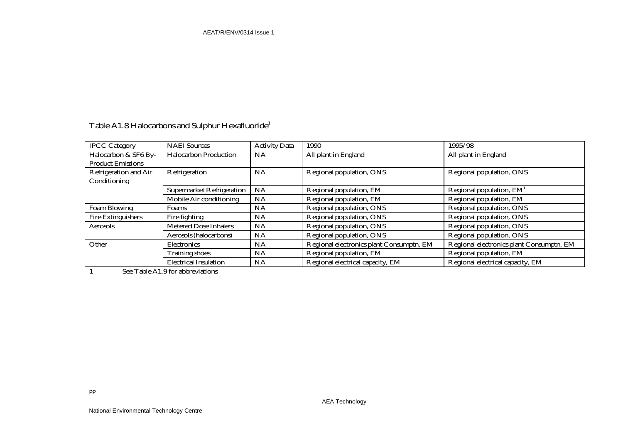| Table A1.8 Halocarbons and Sulphur Hexafluoride <sup>1</sup> |  |
|--------------------------------------------------------------|--|
|--------------------------------------------------------------|--|

| <b>IPCC Category</b>      | <b>NAEI</b> Sources              | <b>Activity Data</b> | 1990                                     | 1995/98                                  |
|---------------------------|----------------------------------|----------------------|------------------------------------------|------------------------------------------|
| Halocarbon & SF6 By-      | <b>Halocarbon Production</b>     | NA                   | All plant in England                     | All plant in England                     |
| <b>Product Emissions</b>  |                                  |                      |                                          |                                          |
| Refrigeration and Air     | Refrigeration                    | NA                   | Regional population, ONS                 | Regional population, ONS                 |
| Conditioning              |                                  |                      |                                          |                                          |
|                           | <b>Supermarket Refrigeration</b> | NA                   | Regional population, EM                  | Regional population, $EM1$               |
|                           | Mobile Air conditioning          | NA                   | Regional population, EM                  | Regional population, EM                  |
| Foam Blowing              | Foams                            | <b>NA</b>            | Regional population, ONS                 | Regional population, ONS                 |
| <b>Fire Extinguishers</b> | Fire fighting                    | <b>NA</b>            | Regional population, ONS                 | Regional population, ONS                 |
| Aerosols                  | <b>Metered Dose Inhalers</b>     | <b>NA</b>            | Regional population, ONS                 | Regional population, ONS                 |
|                           | Aerosols (halocarbons)           | <b>NA</b>            | Regional population, ONS                 | Regional population, ONS                 |
| Other                     | <b>Electronics</b>               | NA                   | Regional electronics plant Consumptn, EM | Regional electronics plant Consumptn, EM |
|                           | <b>Training shoes</b>            | NA                   | Regional population, EM                  | Regional population, EM                  |
|                           | <b>Electrical Insulation</b>     | <b>NA</b>            | Regional electrical capacity, EM         | Regional electrical capacity, EM         |

1 See Table A1.9 for abbreviations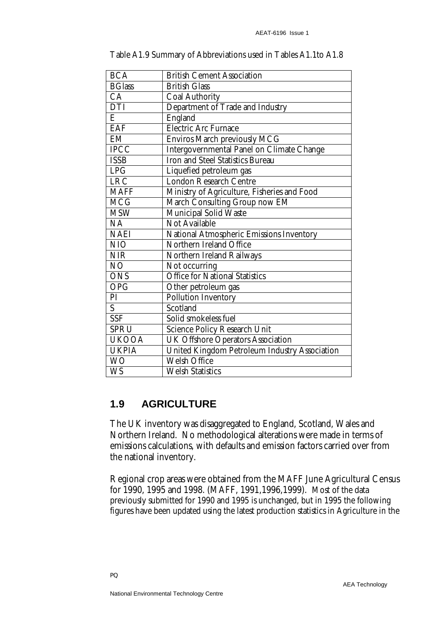| <b>BCA</b>    | <b>British Cement Association</b>                    |  |
|---------------|------------------------------------------------------|--|
| <b>BGlass</b> | <b>British Glass</b>                                 |  |
| CA            | <b>Coal Authority</b>                                |  |
| <b>DTI</b>    | Department of Trade and Industry                     |  |
| E             | England                                              |  |
| <b>EAF</b>    | <b>Electric Arc Furnace</b>                          |  |
| EM            | Enviros March previously MCG                         |  |
| IPCC          | <b>Intergovernmental Panel on Climate Change</b>     |  |
| <b>ISSB</b>   | <b>Iron and Steel Statistics Bureau</b>              |  |
| LPG           | Liquefied petroleum gas                              |  |
| <b>LRC</b>    | <b>London Research Centre</b>                        |  |
| <b>MAFF</b>   | Ministry of Agriculture, Fisheries and Food          |  |
| <b>MCG</b>    | March Consulting Group now EM                        |  |
| <b>MSW</b>    | <b>Municipal Solid Waste</b>                         |  |
| NA            | <b>Not Available</b>                                 |  |
| <b>NAEI</b>   | National Atmospheric Emissions Inventory             |  |
| NIO           | Northern Ireland Office                              |  |
| <b>NIR</b>    | <b>Northern Ireland Railways</b>                     |  |
| NO            | Not occurring                                        |  |
| <b>ONS</b>    | <b>Office for National Statistics</b>                |  |
| <b>OPG</b>    | Other petroleum gas                                  |  |
| PI            | <b>Pollution Inventory</b>                           |  |
| S             | Scotland                                             |  |
| <b>SSF</b>    | Solid smokeless fuel                                 |  |
| <b>SPRU</b>   | <b>Science Policy Research Unit</b>                  |  |
| <b>UKOOA</b>  | <b>UK Offshore Operators Association</b>             |  |
| <b>UKPIA</b>  | <b>United Kingdom Petroleum Industry Association</b> |  |
| <b>WO</b>     | <b>Welsh Office</b>                                  |  |
| <b>WS</b>     | <b>Welsh Statistics</b>                              |  |

Table A1.9 Summary of Abbreviations used in Tables A1.1to A1.8

# **1.9 AGRICULTURE**

The UK inventory was disaggregated to England, Scotland, Wales and Northern Ireland. No methodological alterations were made in terms of emissions calculations, with defaults and emission factors carried over from the national inventory.

Regional crop areas were obtained from the MAFF June Agricultural Census for 1990, 1995 and 1998. (MAFF, 1991,1996,1999). Most of the data previously submitted for 1990 and 1995 is unchanged, but in 1995 the following figures have been updated using the latest production statistics in Agriculture in the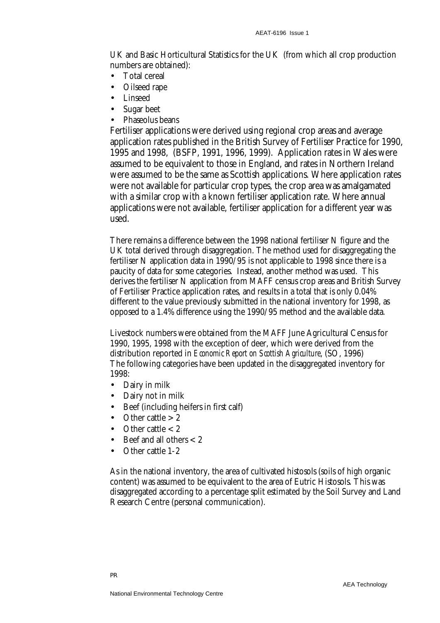UK and Basic Horticultural Statistics for the UK (from which all crop production numbers are obtained):

- Total cereal
- Oilseed rape
- Linseed
- Sugar beet
- Phaseolus beans

Fertiliser applications were derived using regional crop areas and average application rates published in the British Survey of Fertiliser Practice for 1990, 1995 and 1998, (BSFP, 1991, 1996, 1999). Application rates in Wales were assumed to be equivalent to those in England, and rates in Northern Ireland were assumed to be the same as Scottish applications. Where application rates were not available for particular crop types, the crop area was amalgamated with a similar crop with a known fertiliser application rate. Where annual applications were not available, fertiliser application for a different year was used.

There remains a difference between the 1998 national fertiliser N figure and the UK total derived through disaggregation. The method used for disaggregating the fertiliser N application data in 1990/95 is not applicable to 1998 since there is a paucity of data for some categories. Instead, another method was used. This derives the fertiliser N application from MAFF census crop areas and British Survey of Fertiliser Practice application rates, and results in a total that is only 0.04% different to the value previously submitted in the national inventory for 1998, as opposed to a 1.4% difference using the 1990/95 method and the available data.

Livestock numbers were obtained from the MAFF June Agricultural Census for 1990, 1995, 1998 with the exception of deer, which were derived from the distribution reported in *Economic Report on Scottish Agriculture*, (SO, 1996) The following categories have been updated in the disaggregated inventory for 1998:

- Dairy in milk
- Dairy not in milk
- Beef (including heifers in first calf)
- Other cattle  $> 2$
- Other cattle  $< 2$
- Beef and all others  $< 2$
- Other cattle 1-2

As in the national inventory, the area of cultivated histosols (soils of high organic content) was assumed to be equivalent to the area of Eutric Histosols. This was disaggregated according to a percentage split estimated by the Soil Survey and Land Research Centre (personal communication).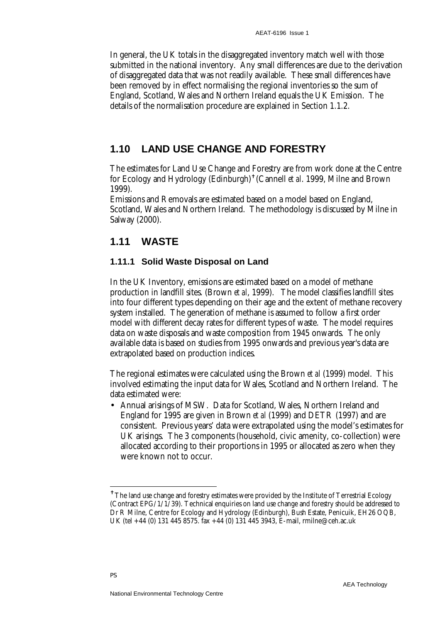In general, the UK totals in the disaggregated inventory match well with those submitted in the national inventory. Any small differences are due to the derivation of disaggregated data that was not readily available. These small differences have been removed by in effect normalising the regional inventories so the sum of England, Scotland, Wales and Northern Ireland equals the UK Emission. The details of the normalisation procedure are explained in Section 1.1.2.

# **1.10 LAND USE CHANGE AND FORESTRY**

The estimates for Land Use Change and Forestry are from work done at the Centre for Ecology and Hydrology (Edinburgh)✝ (Cannell *et al*. 1999, Milne and Brown 1999).

Emissions and Removals are estimated based on a model based on England, Scotland, Wales and Northern Ireland. The methodology is discussed by Milne in Salway (2000).

# **1.11 WASTE**

#### **1.11.1 Solid Waste Disposal on Land**

In the UK Inventory, emissions are estimated based on a model of methane production in landfill sites. (Brown *et al*, 1999). The model classifies landfill sites into four different types depending on their age and the extent of methane recovery system installed. The generation of methane is assumed to follow a first order model with different decay rates for different types of waste. The model requires data on waste disposals and waste composition from 1945 onwards. The only available data is based on studies from 1995 onwards and previous year's data are extrapolated based on production indices.

The regional estimates were calculated using the Brown *et al* (1999) model. This involved estimating the input data for Wales, Scotland and Northern Ireland. The data estimated were:

• Annual arisings of MSW. Data for Scotland, Wales, Northern Ireland and England for 1995 are given in Brown *et al* (1999) and DETR (1997) and are consistent. Previous years' data were extrapolated using the model's estimates for UK arisings. The 3 components (household, civic amenity, co-collection) were allocated according to their proportions in 1995 or allocated as zero when they were known not to occur.

<u>.</u>

<sup>✝</sup> The land use change and forestry estimates were provided by the Institute of Terrestrial Ecology (Contract EPG/1/1/39). Technical enquiries on land use change and forestry should be addressed to Dr R Milne, Centre for Ecology and Hydrology (Edinburgh), Bush Estate, Penicuik, EH26 OQB, UK (tel +44 (0) 131 445 8575. fax +44 (0) 131 445 3943, E-mail, rmilne@ceh.ac.uk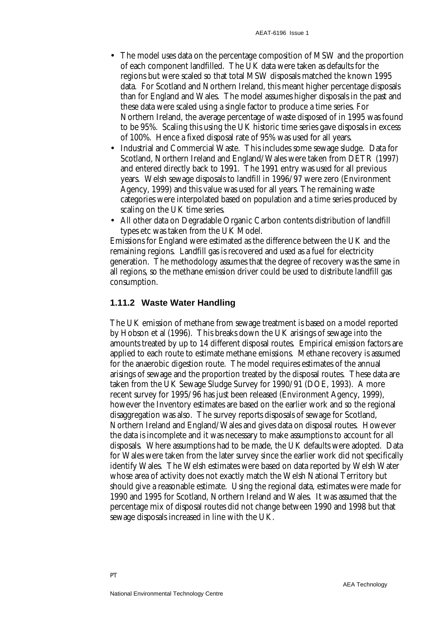- The model uses data on the percentage composition of MSW and the proportion of each component landfilled. The UK data were taken as defaults for the regions but were scaled so that total MSW disposals matched the known 1995 data. For Scotland and Northern Ireland, this meant higher percentage disposals than for England and Wales. The model assumes higher disposals in the past and these data were scaled using a single factor to produce a time series. For Northern Ireland, the average percentage of waste disposed of in 1995 was found to be 95%. Scaling this using the UK historic time series gave disposals in excess of 100%. Hence a fixed disposal rate of 95% was used for all years.
- Industrial and Commercial Waste. This includes some sewage sludge. Data for Scotland, Northern Ireland and England/Wales were taken from DETR (1997) and entered directly back to 1991. The 1991 entry was used for all previous years. Welsh sewage disposals to landfill in 1996/97 were zero (Environment Agency, 1999) and this value was used for all years. The remaining waste categories were interpolated based on population and a time series produced by scaling on the UK time series.
- All other data on Degradable Organic Carbon contents distribution of landfill types etc was taken from the UK Model.

Emissions for England were estimated as the difference between the UK and the remaining regions. Landfill gas is recovered and used as a fuel for electricity generation. The methodology assumes that the degree of recovery was the same in all regions, so the methane emission driver could be used to distribute landfill gas consumption.

#### **1.11.2 Waste Water Handling**

The UK emission of methane from sewage treatment is based on a model reported by Hobson et al (1996). This breaks down the UK arisings of sewage into the amounts treated by up to 14 different disposal routes. Empirical emission factors are applied to each route to estimate methane emissions. Methane recovery is assumed for the anaerobic digestion route. The model requires estimates of the annual arisings of sewage and the proportion treated by the disposal routes. These data are taken from the UK Sewage Sludge Survey for 1990/91 (DOE, 1993). A more recent survey for 1995/96 has just been released (Environment Agency, 1999), however the Inventory estimates are based on the earlier work and so the regional disaggregation was also. The survey reports disposals of sewage for Scotland, Northern Ireland and England/Wales and gives data on disposal routes. However the data is incomplete and it was necessary to make assumptions to account for all disposals. Where assumptions had to be made, the UK defaults were adopted. Data for Wales were taken from the later survey since the earlier work did not specifically identify Wales. The Welsh estimates were based on data reported by Welsh Water whose area of activity does not exactly match the Welsh National Territory but should give a reasonable estimate. Using the regional data, estimates were made for 1990 and 1995 for Scotland, Northern Ireland and Wales. It was assumed that the percentage mix of disposal routes did not change between 1990 and 1998 but that sewage disposals increased in line with the UK.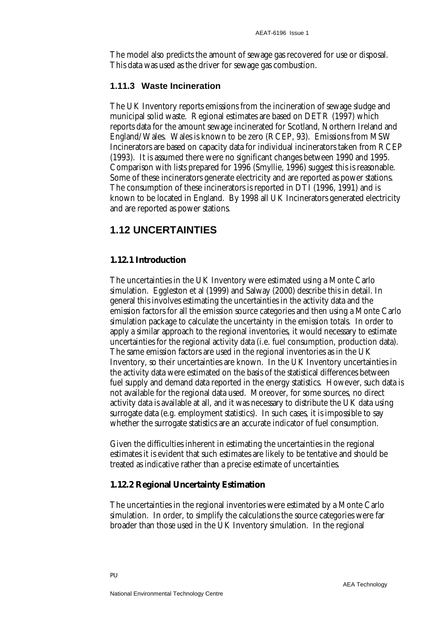The model also predicts the amount of sewage gas recovered for use or disposal. This data was used as the driver for sewage gas combustion.

#### **1.11.3 Waste Incineration**

The UK Inventory reports emissions from the incineration of sewage sludge and municipal solid waste. Regional estimates are based on DETR (1997) which reports data for the amount sewage incinerated for Scotland, Northern Ireland and England/Wales. Wales is known to be zero (RCEP, 93). Emissions from MSW Incinerators are based on capacity data for individual incinerators taken from RCEP (1993). It is assumed there were no significant changes between 1990 and 1995. Comparison with lists prepared for 1996 (Smyllie, 1996) suggest this is reasonable. Some of these incinerators generate electricity and are reported as power stations. The consumption of these incinerators is reported in DTI (1996, 1991) and is known to be located in England. By 1998 all UK Incinerators generated electricity and are reported as power stations.

## **1.12 UNCERTAINTIES**

#### **1.12.1 Introduction**

The uncertainties in the UK Inventory were estimated using a Monte Carlo simulation. Eggleston et al (1999) and Salway (2000) describe this in detail. In general this involves estimating the uncertainties in the activity data and the emission factors for all the emission source categories and then using a Monte Carlo simulation package to calculate the uncertainty in the emission totals. In order to apply a similar approach to the regional inventories, it would necessary to estimate uncertainties for the regional activity data (i.e. fuel consumption, production data). The same emission factors are used in the regional inventories as in the UK Inventory, so their uncertainties are known. In the UK Inventory uncertainties in the activity data were estimated on the basis of the statistical differences between fuel supply and demand data reported in the energy statistics. However, such data is not available for the regional data used. Moreover, for some sources, no direct activity data is available at all, and it was necessary to distribute the UK data using surrogate data (e.g. employment statistics). In such cases, it is impossible to say whether the surrogate statistics are an accurate indicator of fuel consumption.

Given the difficulties inherent in estimating the uncertainties in the regional estimates it is evident that such estimates are likely to be tentative and should be treated as indicative rather than a precise estimate of uncertainties.

#### **1.12.2 Regional Uncertainty Estimation**

The uncertainties in the regional inventories were estimated by a Monte Carlo simulation. In order, to simplify the calculations the source categories were far broader than those used in the UK Inventory simulation. In the regional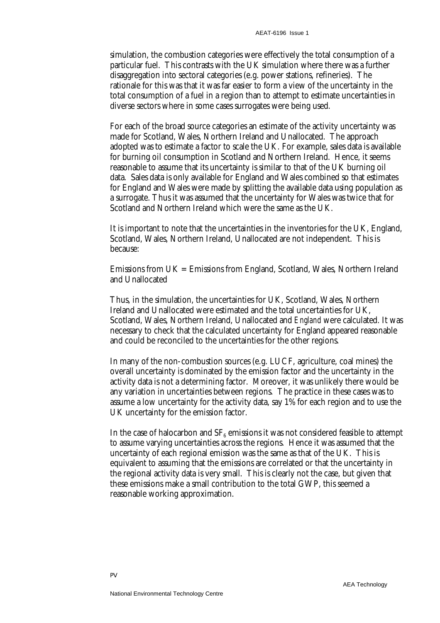simulation, the combustion categories were effectively the total consumption of a particular fuel. This contrasts with the UK simulation where there was a further disaggregation into sectoral categories (e.g. power stations, refineries). The rationale for this was that it was far easier to form a view of the uncertainty in the total consumption of a fuel in a region than to attempt to estimate uncertainties in diverse sectors where in some cases surrogates were being used.

For each of the broad source categories an estimate of the activity uncertainty was made for Scotland, Wales, Northern Ireland and Unallocated. The approach adopted was to estimate a factor to scale the UK. For example, sales data is available for burning oil consumption in Scotland and Northern Ireland. Hence, it seems reasonable to assume that its uncertainty is similar to that of the UK burning oil data. Sales data is only available for England and Wales combined so that estimates for England and Wales were made by splitting the available data using population as a surrogate. Thus it was assumed that the uncertainty for Wales was twice that for Scotland and Northern Ireland which were the same as the UK.

It is important to note that the uncertainties in the inventories for the UK, England, Scotland, Wales, Northern Ireland, Unallocated are not independent. This is because:

Emissions from UK = Emissions from England, Scotland, Wales, Northern Ireland and Unallocated

Thus, in the simulation, the uncertainties for UK, Scotland, Wales, Northern Ireland and Unallocated were estimated and the total uncertainties for UK, Scotland, Wales, Northern Ireland, Unallocated and *England* were calculated. It was necessary to check that the calculated uncertainty for England appeared reasonable and could be reconciled to the uncertainties for the other regions.

In many of the non-combustion sources (e.g. LUCF, agriculture, coal mines) the overall uncertainty is dominated by the emission factor and the uncertainty in the activity data is not a determining factor. Moreover, it was unlikely there would be any variation in uncertainties between regions. The practice in these cases was to assume a low uncertainty for the activity data, say 1% for each region and to use the UK uncertainty for the emission factor.

In the case of halocarbon and  $SF<sub>6</sub>$  emissions it was not considered feasible to attempt to assume varying uncertainties across the regions. Hence it was assumed that the uncertainty of each regional emission was the same as that of the UK. This is equivalent to assuming that the emissions are correlated or that the uncertainty in the regional activity data is very small. This is clearly not the case, but given that these emissions make a small contribution to the total GWP, this seemed a reasonable working approximation.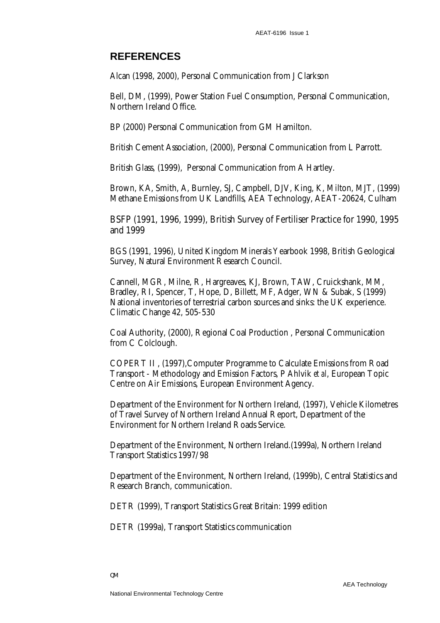## **REFERENCES**

Alcan (1998, 2000), Personal Communication from J Clarkson

Bell, DM, (1999), Power Station Fuel Consumption, Personal Communication, Northern Ireland Office.

BP (2000) Personal Communication from GM Hamilton.

British Cement Association, (2000), Personal Communication from L Parrott.

British Glass, (1999), Personal Communication from A Hartley.

Brown, KA, Smith, A, Burnley, SJ, Campbell, DJV, King, K, Milton, MJT, (1999) Methane Emissions from UK Landfills, AEA Technology, AEAT-20624, Culham

BSFP (1991, 1996, 1999), British Survey of Fertiliser Practice for 1990, 1995 and 1999

BGS (1991, 1996), United Kingdom Minerals Yearbook 1998, British Geological Survey, Natural Environment Research Council.

Cannell, MGR, Milne, R, Hargreaves, KJ, Brown, TAW, Cruickshank, MM, Bradley, RI, Spencer, T, Hope, D, Billett, MF, Adger, WN & Subak, S (1999) National inventories of terrestrial carbon sources and sinks: the UK experience. Climatic Change 42, 505-530

Coal Authority, (2000), Regional Coal Production , Personal Communication from C Colclough.

COPERT II , (1997),Computer Programme to Calculate Emissions from Road Transport - Methodology and Emission Factors, P Ahlvik *et al*, European Topic Centre on Air Emissions, European Environment Agency.

Department of the Environment for Northern Ireland, (1997), Vehicle Kilometres of Travel Survey of Northern Ireland Annual Report, Department of the Environment for Northern Ireland Roads Service.

Department of the Environment, Northern Ireland.(1999a), Northern Ireland Transport Statistics 1997/98

Department of the Environment, Northern Ireland, (1999b), Central Statistics and Research Branch, communication.

DETR (1999), Transport Statistics Great Britain: 1999 edition

DETR (1999a), Transport Statistics communication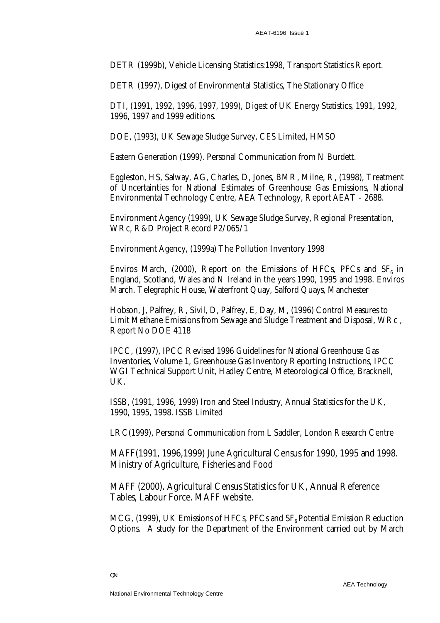DETR (1999b), Vehicle Licensing Statistics:1998, Transport Statistics Report.

DETR (1997), Digest of Environmental Statistics, The Stationary Office

DTI, (1991, 1992, 1996, 1997, 1999), Digest of UK Energy Statistics, 1991, 1992, 1996, 1997 and 1999 editions.

DOE, (1993), UK Sewage Sludge Survey, CES Limited, HMSO

Eastern Generation (1999). Personal Communication from N Burdett.

Eggleston, HS, Salway, AG, Charles, D, Jones, BMR, Milne, R, (1998), Treatment of Uncertainties for National Estimates of Greenhouse Gas Emissions, National Environmental Technology Centre, AEA Technology, Report AEAT - 2688.

Environment Agency (1999), UK Sewage Sludge Survey, Regional Presentation, WRc, R&D Project Record P2/065/1

Environment Agency, (1999a) The Pollution Inventory 1998

Enviros March, (2000), Report on the Emissions of HFCs, PFCs and  $SF<sub>6</sub>$  in England, Scotland, Wales and N Ireland in the years 1990, 1995 and 1998. Enviros March. Telegraphic House, Waterfront Quay, Salford Quays, Manchester

Hobson, J, Palfrey, R, Sivil, D, Palfrey, E, Day, M, (1996) Control Measures to Limit Methane Emissions from Sewage and Sludge Treatment and Disposal, WRc , Report No DOE 4118

IPCC, (1997), IPCC Revised 1996 Guidelines for National Greenhouse Gas Inventories, Volume 1, Greenhouse Gas Inventory Reporting Instructions, IPCC WGI Technical Support Unit, Hadley Centre, Meteorological Office, Bracknell, UK.

ISSB, (1991, 1996, 1999) Iron and Steel Industry, Annual Statistics for the UK, 1990, 1995, 1998. ISSB Limited

LRC(1999), Personal Communication from L Saddler, London Research Centre

MAFF(1991, 1996,1999) June Agricultural Census for 1990, 1995 and 1998. Ministry of Agriculture, Fisheries and Food

MAFF (2000). Agricultural Census Statistics for UK, Annual Reference Tables, Labour Force. MAFF website.

MCG, (1999), UK Emissions of HFCs, PFCs and  $SF<sub>6</sub>$  Potential Emission Reduction Options. A study for the Department of the Environment carried out by March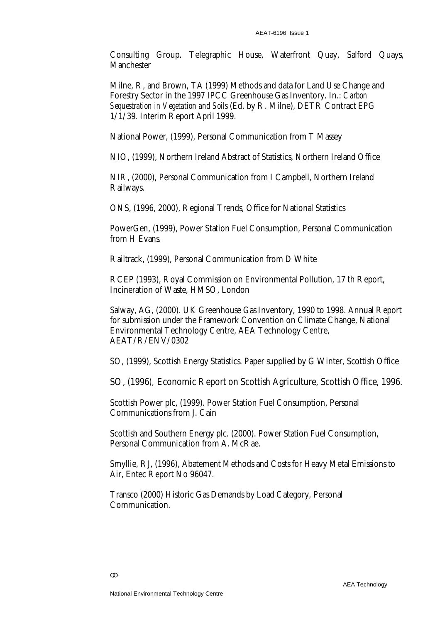Consulting Group. Telegraphic House, Waterfront Quay, Salford Quays, Manchester

Milne, R, and Brown, TA (1999) Methods and data for Land Use Change and Forestry Sector in the 1997 IPCC Greenhouse Gas Inventory. In.: *Carbon Sequestration in Vegetation and Soils* (Ed. by R. Milne), DETR Contract EPG 1/1/39. Interim Report April 1999.

National Power, (1999), Personal Communication from T Massey

NIO, (1999), Northern Ireland Abstract of Statistics, Northern Ireland Office

NIR, (2000), Personal Communication from I Campbell, Northern Ireland Railways.

ONS, (1996, 2000), Regional Trends, Office for National Statistics

PowerGen, (1999), Power Station Fuel Consumption, Personal Communication from H Evans.

Railtrack, (1999), Personal Communication from D White

RCEP (1993), Royal Commission on Environmental Pollution, 17 th Report, Incineration of Waste, HMSO, London

Salway, AG, (2000). UK Greenhouse Gas Inventory, 1990 to 1998. Annual Report for submission under the Framework Convention on Climate Change, National Environmental Technology Centre, AEA Technology Centre, AEAT/R/ENV/0302

SO, (1999), Scottish Energy Statistics. Paper supplied by G Winter, Scottish Office

SO, (1996*),* Economic Report on Scottish Agriculture, Scottish Office, 1996.

Scottish Power plc, (1999). Power Station Fuel Consumption, Personal Communications from J. Cain

Scottish and Southern Energy plc. (2000). Power Station Fuel Consumption, Personal Communication from A. McRae.

Smyllie, RJ, (1996), Abatement Methods and Costs for Heavy Metal Emissions to Air, Entec Report No 96047.

Transco (2000) Historic Gas Demands by Load Category, Personal Communication.